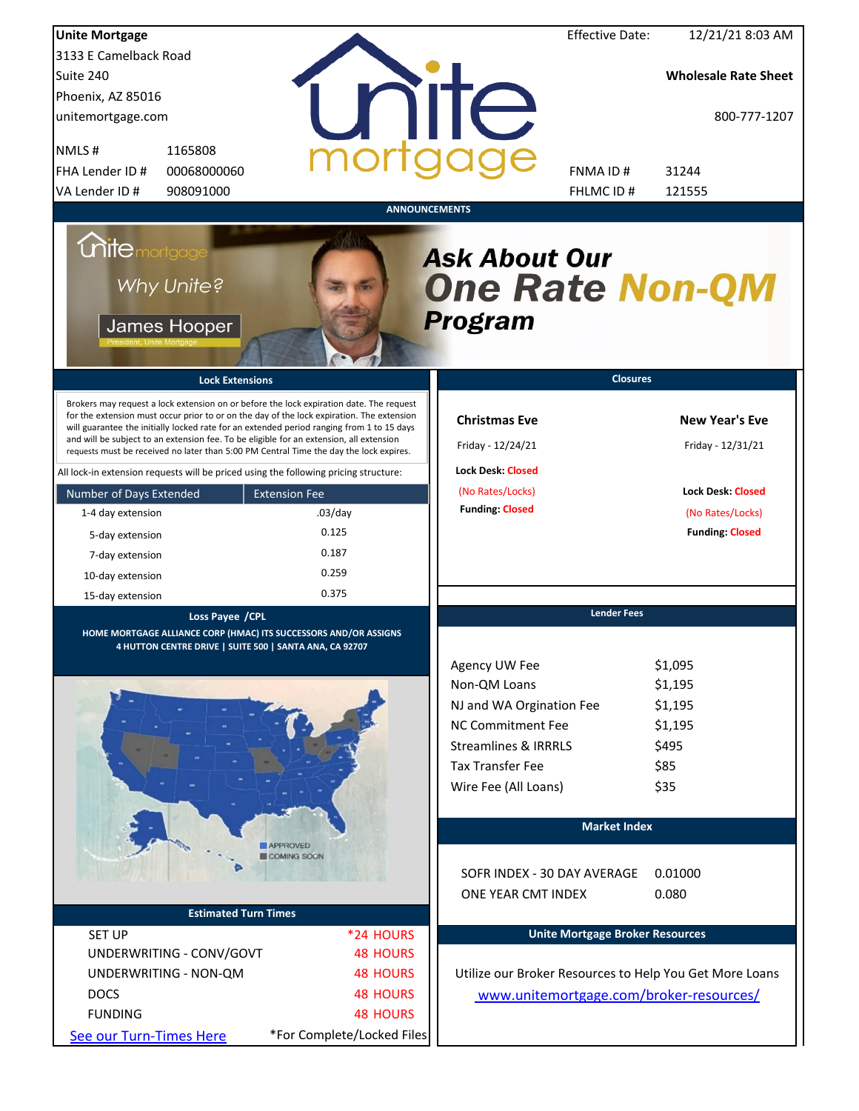| <b>Unite Mortgage</b>                                                                                                                                                                                                                                                                                                                                                                                                                                                                                                                                                                                                                                                                                                                 |                                                                                       |                                                                                                                                                                                         | <b>Effective Date:</b> | 12/21/21 8:03 AM                                                                                                     |
|---------------------------------------------------------------------------------------------------------------------------------------------------------------------------------------------------------------------------------------------------------------------------------------------------------------------------------------------------------------------------------------------------------------------------------------------------------------------------------------------------------------------------------------------------------------------------------------------------------------------------------------------------------------------------------------------------------------------------------------|---------------------------------------------------------------------------------------|-----------------------------------------------------------------------------------------------------------------------------------------------------------------------------------------|------------------------|----------------------------------------------------------------------------------------------------------------------|
| 3133 E Camelback Road                                                                                                                                                                                                                                                                                                                                                                                                                                                                                                                                                                                                                                                                                                                 |                                                                                       |                                                                                                                                                                                         |                        |                                                                                                                      |
| Suite 240                                                                                                                                                                                                                                                                                                                                                                                                                                                                                                                                                                                                                                                                                                                             |                                                                                       |                                                                                                                                                                                         |                        | <b>Wholesale Rate Sheet</b>                                                                                          |
| Phoenix, AZ 85016                                                                                                                                                                                                                                                                                                                                                                                                                                                                                                                                                                                                                                                                                                                     |                                                                                       |                                                                                                                                                                                         |                        |                                                                                                                      |
| unitemortgage.com                                                                                                                                                                                                                                                                                                                                                                                                                                                                                                                                                                                                                                                                                                                     |                                                                                       | <b>TITE</b>                                                                                                                                                                             |                        | 800-777-1207                                                                                                         |
| 1165808<br>NMLS#                                                                                                                                                                                                                                                                                                                                                                                                                                                                                                                                                                                                                                                                                                                      |                                                                                       |                                                                                                                                                                                         |                        |                                                                                                                      |
| FHA Lender ID #<br>00068000060                                                                                                                                                                                                                                                                                                                                                                                                                                                                                                                                                                                                                                                                                                        |                                                                                       | FNMA ID#                                                                                                                                                                                |                        | 31244                                                                                                                |
| VA Lender ID #<br>908091000                                                                                                                                                                                                                                                                                                                                                                                                                                                                                                                                                                                                                                                                                                           |                                                                                       |                                                                                                                                                                                         | FHLMC ID #             | 121555                                                                                                               |
| <b>Unite</b> mortgage<br>Why Unite?<br>James Hooper<br><b>Lock Extensions</b><br>Brokers may request a lock extension on or before the lock expiration date. The request<br>for the extension must occur prior to or on the day of the lock expiration. The extension<br>will guarantee the initially locked rate for an extended period ranging from 1 to 15 days<br>and will be subject to an extension fee. To be eligible for an extension, all extension<br>requests must be received no later than 5:00 PM Central Time the day the lock expires.<br>All lock-in extension requests will be priced using the following pricing structure:<br>Number of Days Extended<br>1-4 day extension<br>5-day extension<br>7-day extension | <b>ANNOUNCEMENTS</b><br><b>Extension Fee</b><br>$.03$ /day<br>0.125<br>0.187<br>0.259 | <b>Ask About Our</b><br><b>One Rate Non-QM</b><br><b>Program</b><br><b>Christmas Eve</b><br>Friday - 12/24/21<br><b>Lock Desk: Closed</b><br>(No Rates/Locks)<br><b>Funding: Closed</b> | <b>Closures</b>        | <b>New Year's Eve</b><br>Friday - 12/31/21<br><b>Lock Desk: Closed</b><br>(No Rates/Locks)<br><b>Funding: Closed</b> |
| 10-day extension                                                                                                                                                                                                                                                                                                                                                                                                                                                                                                                                                                                                                                                                                                                      | 0.375                                                                                 |                                                                                                                                                                                         |                        |                                                                                                                      |
| 15-day extension                                                                                                                                                                                                                                                                                                                                                                                                                                                                                                                                                                                                                                                                                                                      |                                                                                       |                                                                                                                                                                                         | <b>Lender Fees</b>     |                                                                                                                      |
| Loss Payee / CPL<br>HOME MORTGAGE ALLIANCE CORP (HMAC) ITS SUCCESSORS AND/OR ASSIGNS<br>4 HUTTON CENTRE DRIVE   SUITE 500   SANTA ANA, CA 92707                                                                                                                                                                                                                                                                                                                                                                                                                                                                                                                                                                                       |                                                                                       |                                                                                                                                                                                         |                        |                                                                                                                      |
|                                                                                                                                                                                                                                                                                                                                                                                                                                                                                                                                                                                                                                                                                                                                       |                                                                                       | Agency UW Fee<br>Non-QM Loans<br>NJ and WA Orgination Fee<br><b>NC Commitment Fee</b><br><b>Streamlines &amp; IRRRLS</b><br><b>Tax Transfer Fee</b><br>Wire Fee (All Loans)             |                        | \$1,095<br>\$1,195<br>\$1,195<br>\$1,195<br>\$495<br>\$85<br>\$35                                                    |
|                                                                                                                                                                                                                                                                                                                                                                                                                                                                                                                                                                                                                                                                                                                                       |                                                                                       |                                                                                                                                                                                         | <b>Market Index</b>    |                                                                                                                      |
|                                                                                                                                                                                                                                                                                                                                                                                                                                                                                                                                                                                                                                                                                                                                       | <b>APPROVED</b><br>COMING SOON                                                        | SOFR INDEX - 30 DAY AVERAGE<br>ONE YEAR CMT INDEX                                                                                                                                       |                        | 0.01000<br>0.080                                                                                                     |
| <b>Estimated Turn Times</b>                                                                                                                                                                                                                                                                                                                                                                                                                                                                                                                                                                                                                                                                                                           |                                                                                       |                                                                                                                                                                                         |                        |                                                                                                                      |
| <b>SET UP</b>                                                                                                                                                                                                                                                                                                                                                                                                                                                                                                                                                                                                                                                                                                                         | *24 HOURS                                                                             | <b>Unite Mortgage Broker Resources</b>                                                                                                                                                  |                        |                                                                                                                      |
| UNDERWRITING - CONV/GOVT                                                                                                                                                                                                                                                                                                                                                                                                                                                                                                                                                                                                                                                                                                              | <b>48 HOURS</b>                                                                       |                                                                                                                                                                                         |                        |                                                                                                                      |
| UNDERWRITING - NON-QM                                                                                                                                                                                                                                                                                                                                                                                                                                                                                                                                                                                                                                                                                                                 | <b>48 HOURS</b>                                                                       | Utilize our Broker Resources to Help You Get More Loans                                                                                                                                 |                        |                                                                                                                      |
| <b>DOCS</b>                                                                                                                                                                                                                                                                                                                                                                                                                                                                                                                                                                                                                                                                                                                           | <b>48 HOURS</b>                                                                       | www.unitemortgage.com/broker-resources/                                                                                                                                                 |                        |                                                                                                                      |
| <b>FUNDING</b>                                                                                                                                                                                                                                                                                                                                                                                                                                                                                                                                                                                                                                                                                                                        | <b>48 HOURS</b>                                                                       |                                                                                                                                                                                         |                        |                                                                                                                      |
| See our Turn-Times Here                                                                                                                                                                                                                                                                                                                                                                                                                                                                                                                                                                                                                                                                                                               | *For Complete/Locked Files                                                            |                                                                                                                                                                                         |                        |                                                                                                                      |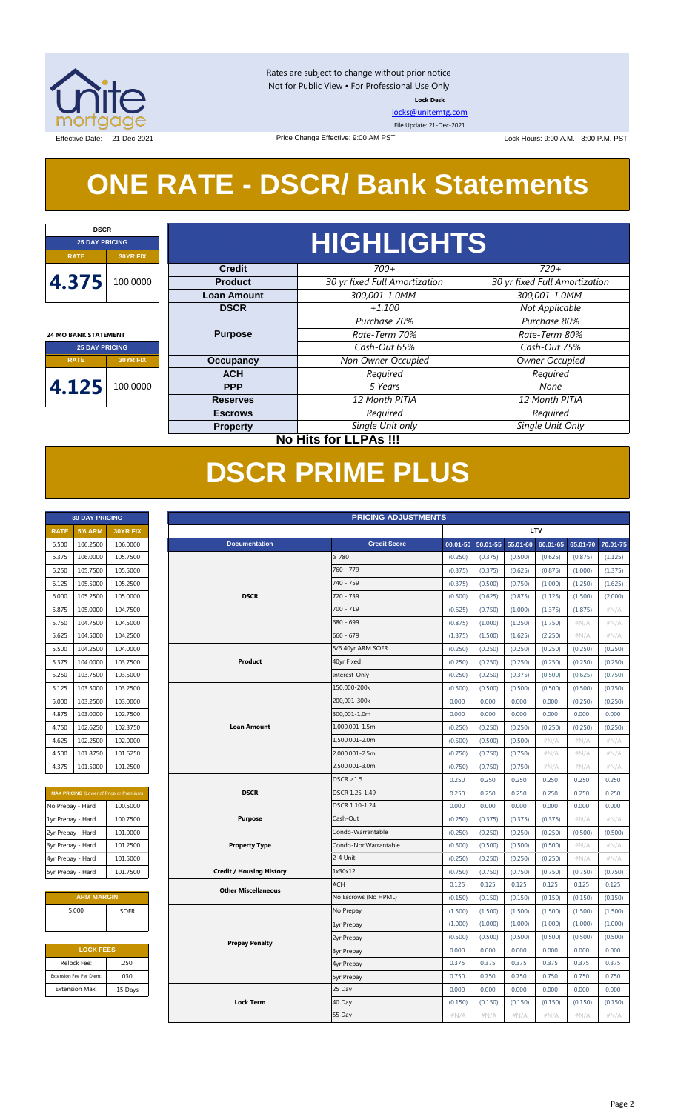

Rates are subject to change without prior notice Not for Public View • For Professional Use Only **Lock Desk**

[locks@unitemtg.com](mailto:locks@unitemtg.com)

File Update: 21-Dec-2021

Effective Date: 21-Dec-2021 <br>
Price Change Effective: 9:00 AM PST Lock Hours: 9:00 A.M. - 3:00 P.M. PST

# **ONE RATE - DSCR/ Bank Statements**

Price Change Effective: 9:00 AM PST

| <b>DSCR</b>                 |                                     |                    |                               |                               |  |  |  |  |
|-----------------------------|-------------------------------------|--------------------|-------------------------------|-------------------------------|--|--|--|--|
| <b>25 DAY PRICING</b>       |                                     |                    | <b>HIGHLIGHTS</b>             |                               |  |  |  |  |
| <b>RATE</b>                 | 30YR FIX                            |                    |                               |                               |  |  |  |  |
|                             |                                     | <b>Credit</b>      | $700+$                        | $720+$                        |  |  |  |  |
| 4.375                       | 100.0000                            | <b>Product</b>     | 30 yr fixed Full Amortization | 30 yr fixed Full Amortization |  |  |  |  |
|                             |                                     | <b>Loan Amount</b> | 300,001-1.0MM                 | 300,001-1.0MM                 |  |  |  |  |
|                             |                                     | <b>DSCR</b>        | $+1.100$                      | Not Applicable                |  |  |  |  |
|                             |                                     |                    | Purchase 70%                  | Purchase 80%                  |  |  |  |  |
| <b>24 MO BANK STATEMENT</b> |                                     | <b>Purpose</b>     | Rate-Term 70%                 | Rate-Term 80%                 |  |  |  |  |
| <b>25 DAY PRICING</b>       |                                     |                    | Cash-Out 65%                  | Cash-Out 75%                  |  |  |  |  |
| <b>RATE</b>                 | <b>Occupancy</b><br><b>30YR FIX</b> |                    | Non Owner Occupied            | Owner Occupied                |  |  |  |  |
|                             |                                     | <b>ACH</b>         | Required                      | Required                      |  |  |  |  |
| 4.125                       | 100.0000                            | <b>PPP</b>         | 5 Years                       | None                          |  |  |  |  |
|                             |                                     | <b>Reserves</b>    | 12 Month PITIA                | 12 Month PITIA                |  |  |  |  |
|                             |                                     | <b>Escrows</b>     | Required                      | Required                      |  |  |  |  |
|                             |                                     | <b>Property</b>    | Single Unit only              | Single Unit Only              |  |  |  |  |
|                             |                                     |                    | No Uite for LLDAs III         |                               |  |  |  |  |

## **No Hits for LLPAs !!!**

# **DSCR PRIME PLUS**

| <b>30 DAY PRICING</b> |                |                 |  |  |  |  |
|-----------------------|----------------|-----------------|--|--|--|--|
| <b>RATE</b>           | <b>5/6 ARM</b> | <b>30YR FIX</b> |  |  |  |  |
| 6.500                 | 106.2500       | 106.0000        |  |  |  |  |
| 6.375                 | 106.0000       | 105.7500        |  |  |  |  |
| 6.250                 | 105.7500       | 105.5000        |  |  |  |  |
| 6.125                 | 105.5000       | 105.2500        |  |  |  |  |
| 6.000                 | 105.2500       | 105.0000        |  |  |  |  |
| 5.875                 | 105.0000       | 104.7500        |  |  |  |  |
| 5.750                 | 104.7500       | 104.5000        |  |  |  |  |
| 5.625                 | 104.5000       | 104.2500        |  |  |  |  |
| 5.500                 | 104.2500       | 104.0000        |  |  |  |  |
| 5.375                 | 104.0000       | 103.7500        |  |  |  |  |
| 5.250                 | 103.7500       | 103.5000        |  |  |  |  |
| 5.125                 | 103.5000       | 103.2500        |  |  |  |  |
| 5.000                 | 103.2500       | 103.0000        |  |  |  |  |
| 4.875                 | 103.0000       | 102.7500        |  |  |  |  |
| 4.750                 | 102.6250       | 102.3750        |  |  |  |  |
| 4.625                 | 102.2500       | 102.0000        |  |  |  |  |
| 4.500                 | 101.8750       | 101.6250        |  |  |  |  |
| 4.375                 | 101.5000       | 101.2500        |  |  |  |  |

| <b>MAX PRICING</b> (Lower of Price or Premium) |          |  |  |  |
|------------------------------------------------|----------|--|--|--|
| No Prepay - Hard                               | 100.5000 |  |  |  |
| 1yr Prepay - Hard                              | 100.7500 |  |  |  |
| 2yr Prepay - Hard                              | 101.0000 |  |  |  |
| 3yr Prepay - Hard                              | 101.2500 |  |  |  |
| 4yr Prepay - Hard                              | 101.5000 |  |  |  |
| 5yr Prepay - Hard                              | 101.7500 |  |  |  |

| <b>ARM MARGIN</b> |             |  |  |  |
|-------------------|-------------|--|--|--|
| 5.000             | <b>SOFR</b> |  |  |  |
|                   |             |  |  |  |

| <b>LOCK FEES</b>        |         |  |  |  |
|-------------------------|---------|--|--|--|
| Relock Fee:             | .250    |  |  |  |
| Extension Fee Per Diem: | .030    |  |  |  |
| <b>Extension Max:</b>   | 15 Days |  |  |  |

| LTV<br><b>5/6 ARM</b><br><b>RATE</b><br>30YR FIX<br><b>Credit Score</b><br>106.2500<br>106.0000<br><b>Documentation</b><br>55.01-60<br>6.500<br>00.01-50<br>50.01-55<br>106.0000<br>105.7500<br>$\geq 780$<br>6.375<br>(0.250)<br>(0.375)<br>(0.500)<br>105.5000<br>760 - 779<br>6.250<br>105.7500<br>(0.375)<br>(0.375)<br>(0.625)<br>105.5000<br>105.2500<br>740 - 759<br>6.125<br>(0.375)<br>(0.500)<br>(0.750)<br><b>DSCR</b><br>720 - 739<br>6.000<br>105.2500<br>105.0000<br>(0.500)<br>(0.625)<br>(0.875)<br>700 - 719<br>5.875<br>105.0000<br>104.7500<br>(0.625)<br>(0.750)<br>(1.000)<br>680 - 699<br>104.7500<br>104.5000<br>5.750<br>(0.875)<br>(1.000)<br>(1.250)<br>$660 - 679$<br>104.5000<br>104.2500<br>5.625<br>(1.375)<br>(1.500)<br>(1.625)<br>104.2500<br>104.0000<br>5/6 40yr ARM SOFR<br>(0.250)<br>5.500<br>(0.250)<br>(0.250)<br>104.0000<br>103.7500<br>Product<br>40yr Fixed<br>5.375<br>(0.250)<br>(0.250)<br>(0.250) | 60.01-65<br>(0.625)<br>(0.875)<br>(1.000)<br>(1.125)<br>(1.375)<br>(1.750)<br>(2.250)<br>(0.250)<br>(0.250)<br>(0.500)<br>(0.500) | 65.01-70<br>(0.875)<br>(1.000)<br>(1.250)<br>(1.500)<br>(1.875)<br>$\#N/A$<br>#N/A<br>(0.250)<br>(0.250)<br>(0.625) | (1.125)<br>(1.375)<br>(1.625)<br>(2.000)<br>#N/A<br>$\#N/A$<br>#N/A<br>(0.250)<br>(0.250) |
|---------------------------------------------------------------------------------------------------------------------------------------------------------------------------------------------------------------------------------------------------------------------------------------------------------------------------------------------------------------------------------------------------------------------------------------------------------------------------------------------------------------------------------------------------------------------------------------------------------------------------------------------------------------------------------------------------------------------------------------------------------------------------------------------------------------------------------------------------------------------------------------------------------------------------------------------------|-----------------------------------------------------------------------------------------------------------------------------------|---------------------------------------------------------------------------------------------------------------------|-------------------------------------------------------------------------------------------|
|                                                                                                                                                                                                                                                                                                                                                                                                                                                                                                                                                                                                                                                                                                                                                                                                                                                                                                                                                   |                                                                                                                                   |                                                                                                                     | 70.01-75                                                                                  |
|                                                                                                                                                                                                                                                                                                                                                                                                                                                                                                                                                                                                                                                                                                                                                                                                                                                                                                                                                   |                                                                                                                                   |                                                                                                                     |                                                                                           |
|                                                                                                                                                                                                                                                                                                                                                                                                                                                                                                                                                                                                                                                                                                                                                                                                                                                                                                                                                   |                                                                                                                                   |                                                                                                                     |                                                                                           |
|                                                                                                                                                                                                                                                                                                                                                                                                                                                                                                                                                                                                                                                                                                                                                                                                                                                                                                                                                   |                                                                                                                                   |                                                                                                                     |                                                                                           |
|                                                                                                                                                                                                                                                                                                                                                                                                                                                                                                                                                                                                                                                                                                                                                                                                                                                                                                                                                   |                                                                                                                                   |                                                                                                                     |                                                                                           |
|                                                                                                                                                                                                                                                                                                                                                                                                                                                                                                                                                                                                                                                                                                                                                                                                                                                                                                                                                   |                                                                                                                                   |                                                                                                                     |                                                                                           |
|                                                                                                                                                                                                                                                                                                                                                                                                                                                                                                                                                                                                                                                                                                                                                                                                                                                                                                                                                   |                                                                                                                                   |                                                                                                                     |                                                                                           |
|                                                                                                                                                                                                                                                                                                                                                                                                                                                                                                                                                                                                                                                                                                                                                                                                                                                                                                                                                   |                                                                                                                                   |                                                                                                                     |                                                                                           |
|                                                                                                                                                                                                                                                                                                                                                                                                                                                                                                                                                                                                                                                                                                                                                                                                                                                                                                                                                   |                                                                                                                                   |                                                                                                                     |                                                                                           |
|                                                                                                                                                                                                                                                                                                                                                                                                                                                                                                                                                                                                                                                                                                                                                                                                                                                                                                                                                   |                                                                                                                                   |                                                                                                                     |                                                                                           |
|                                                                                                                                                                                                                                                                                                                                                                                                                                                                                                                                                                                                                                                                                                                                                                                                                                                                                                                                                   |                                                                                                                                   |                                                                                                                     |                                                                                           |
| Interest-Only<br>103.5000<br>5.250<br>103.7500<br>(0.250)<br>(0.250)<br>(0.375)                                                                                                                                                                                                                                                                                                                                                                                                                                                                                                                                                                                                                                                                                                                                                                                                                                                                   |                                                                                                                                   |                                                                                                                     | (0.750)                                                                                   |
| 103.5000<br>103.2500<br>150,000-200k<br>5.125<br>(0.500)<br>(0.500)<br>(0.500)                                                                                                                                                                                                                                                                                                                                                                                                                                                                                                                                                                                                                                                                                                                                                                                                                                                                    |                                                                                                                                   | (0.500)                                                                                                             | (0.750)                                                                                   |
| 103.0000<br>200,001-300k<br>0.000<br>5.000<br>103.2500<br>0.000<br>0.000                                                                                                                                                                                                                                                                                                                                                                                                                                                                                                                                                                                                                                                                                                                                                                                                                                                                          | 0.000                                                                                                                             | (0.250)                                                                                                             | (0.250)                                                                                   |
| 300,001-1.0m<br>103.0000<br>102.7500<br>0.000<br>0.000<br>0.000<br>4.875                                                                                                                                                                                                                                                                                                                                                                                                                                                                                                                                                                                                                                                                                                                                                                                                                                                                          | 0.000                                                                                                                             | 0.000                                                                                                               | 0.000                                                                                     |
| 1,000,001-1.5m<br>4.750<br>102.6250<br>102.3750<br><b>Loan Amount</b><br>(0.250)<br>(0.250)<br>(0.250)                                                                                                                                                                                                                                                                                                                                                                                                                                                                                                                                                                                                                                                                                                                                                                                                                                            | (0.250)                                                                                                                           | (0.250)                                                                                                             | (0.250)                                                                                   |
| 102.2500<br>102.0000<br>1,500,001-2.0m<br>4.625<br>(0.500)<br>(0.500)<br>(0.500)                                                                                                                                                                                                                                                                                                                                                                                                                                                                                                                                                                                                                                                                                                                                                                                                                                                                  | #N/A                                                                                                                              | $\#N/A$                                                                                                             | #N/A                                                                                      |
| 2,000,001-2.5m<br>4.500<br>101.8750<br>101.6250<br>(0.750)<br>(0.750)<br>(0.750)                                                                                                                                                                                                                                                                                                                                                                                                                                                                                                                                                                                                                                                                                                                                                                                                                                                                  | #N/A                                                                                                                              | #N/A                                                                                                                | #N/A                                                                                      |
| 101.5000<br>101.2500<br>2,500,001-3.0m<br>4.375<br>(0.750)<br>(0.750)<br>(0.750)                                                                                                                                                                                                                                                                                                                                                                                                                                                                                                                                                                                                                                                                                                                                                                                                                                                                  | #N/A                                                                                                                              | $\#N/A$                                                                                                             | #N/A                                                                                      |
| $DSCR \geq 1.5$<br>0.250<br>0.250<br>0.250                                                                                                                                                                                                                                                                                                                                                                                                                                                                                                                                                                                                                                                                                                                                                                                                                                                                                                        | 0.250                                                                                                                             | 0.250                                                                                                               | 0.250                                                                                     |
| <b>DSCR</b><br>DSCR 1.25-1.49<br>0.250<br>0.250<br>0.250<br><b>MAX PRICING</b> (Lower of Price or Premium)                                                                                                                                                                                                                                                                                                                                                                                                                                                                                                                                                                                                                                                                                                                                                                                                                                        | 0.250                                                                                                                             | 0.250                                                                                                               | 0.250                                                                                     |
| No Prepay - Hard<br>100.5000<br>DSCR 1.10-1.24<br>0.000<br>0.000<br>0.000                                                                                                                                                                                                                                                                                                                                                                                                                                                                                                                                                                                                                                                                                                                                                                                                                                                                         | 0.000                                                                                                                             | 0.000                                                                                                               | 0.000                                                                                     |
| 100.7500<br><b>Purpose</b><br>Cash-Out<br>(0.250)<br>(0.375)<br>1yr Prepay - Hard<br>(0.375)                                                                                                                                                                                                                                                                                                                                                                                                                                                                                                                                                                                                                                                                                                                                                                                                                                                      | (0.375)                                                                                                                           | $\#N/A$                                                                                                             | #N/A                                                                                      |
| 2yr Prepay - Hard<br>101.0000<br>Condo-Warrantable<br>(0.250)<br>(0.250)<br>(0.250)                                                                                                                                                                                                                                                                                                                                                                                                                                                                                                                                                                                                                                                                                                                                                                                                                                                               | (0.250)                                                                                                                           | (0.500)                                                                                                             | (0.500)                                                                                   |
| 3yr Prepay - Hard<br>101.2500<br><b>Property Type</b><br>Condo-NonWarrantable<br>(0.500)<br>(0.500)<br>(0.500)                                                                                                                                                                                                                                                                                                                                                                                                                                                                                                                                                                                                                                                                                                                                                                                                                                    | (0.500)                                                                                                                           | #N/A                                                                                                                | #N/A                                                                                      |
| 101.5000<br>2-4 Unit<br>(0.250)<br>(0.250)<br>4yr Prepay - Hard<br>(0.250)                                                                                                                                                                                                                                                                                                                                                                                                                                                                                                                                                                                                                                                                                                                                                                                                                                                                        | (0.250)                                                                                                                           | $\#N/A$                                                                                                             | #N/A                                                                                      |
| 5yr Prepay - Hard<br>101.7500<br><b>Credit / Housing History</b><br>1x30x12<br>(0.750)<br>(0.750)<br>(0.750)                                                                                                                                                                                                                                                                                                                                                                                                                                                                                                                                                                                                                                                                                                                                                                                                                                      | (0.750)                                                                                                                           | (0.750)                                                                                                             | (0.750)                                                                                   |
| <b>ACH</b><br>0.125<br>0.125<br>0.125<br><b>Other Miscellaneous</b>                                                                                                                                                                                                                                                                                                                                                                                                                                                                                                                                                                                                                                                                                                                                                                                                                                                                               | 0.125                                                                                                                             | 0.125                                                                                                               | 0.125                                                                                     |
| <b>ARM MARGIN</b><br>No Escrows (No HPML)<br>(0.150)<br>(0.150)<br>(0.150)                                                                                                                                                                                                                                                                                                                                                                                                                                                                                                                                                                                                                                                                                                                                                                                                                                                                        | (0.150)                                                                                                                           | (0.150)                                                                                                             | (0.150)                                                                                   |
| 5.000<br><b>SOFR</b><br>No Prepay<br>(1.500)<br>(1.500)<br>(1.500)                                                                                                                                                                                                                                                                                                                                                                                                                                                                                                                                                                                                                                                                                                                                                                                                                                                                                | (1.500)                                                                                                                           | (1.500)                                                                                                             | (1.500)                                                                                   |
| (1.000)<br>(1.000)<br>(1.000)<br>1yr Prepay                                                                                                                                                                                                                                                                                                                                                                                                                                                                                                                                                                                                                                                                                                                                                                                                                                                                                                       | (1.000)                                                                                                                           | (1.000)                                                                                                             | (1.000)                                                                                   |
| (0.500)<br>(0.500)<br>(0.500)<br>2yr Prepay<br><b>Prepay Penalty</b>                                                                                                                                                                                                                                                                                                                                                                                                                                                                                                                                                                                                                                                                                                                                                                                                                                                                              | (0.500)                                                                                                                           | (0.500)                                                                                                             | (0.500)                                                                                   |
| <b>LOCK FEES</b><br>0.000<br>0.000<br>0.000<br><b>3yr Prepay</b>                                                                                                                                                                                                                                                                                                                                                                                                                                                                                                                                                                                                                                                                                                                                                                                                                                                                                  | 0.000                                                                                                                             | 0.000                                                                                                               | 0.000                                                                                     |
| Relock Fee:<br>.250<br>0.375<br>0.375<br>0.375<br>4yr Prepay                                                                                                                                                                                                                                                                                                                                                                                                                                                                                                                                                                                                                                                                                                                                                                                                                                                                                      | 0.375                                                                                                                             | 0.375                                                                                                               | 0.375                                                                                     |
| .030<br>0.750<br>Extension Fee Per Diem:<br>0.750<br>0.750<br><b>5yr Prepay</b>                                                                                                                                                                                                                                                                                                                                                                                                                                                                                                                                                                                                                                                                                                                                                                                                                                                                   | 0.750                                                                                                                             | 0.750                                                                                                               | 0.750                                                                                     |
| 25 Day<br>0.000<br><b>Extension Max:</b><br>15 Days<br>0.000<br>0.000                                                                                                                                                                                                                                                                                                                                                                                                                                                                                                                                                                                                                                                                                                                                                                                                                                                                             | 0.000                                                                                                                             | 0.000                                                                                                               | 0.000                                                                                     |
| 40 Day<br><b>Lock Term</b><br>(0.150)<br>(0.150)<br>(0.150)                                                                                                                                                                                                                                                                                                                                                                                                                                                                                                                                                                                                                                                                                                                                                                                                                                                                                       | (0.150)                                                                                                                           | (0.150)                                                                                                             | (0.150)                                                                                   |
| 55 Day<br>#N/A<br>#N/A<br>#N/A                                                                                                                                                                                                                                                                                                                                                                                                                                                                                                                                                                                                                                                                                                                                                                                                                                                                                                                    | #N/A                                                                                                                              | #N/A                                                                                                                | #N/A                                                                                      |

#### Page 2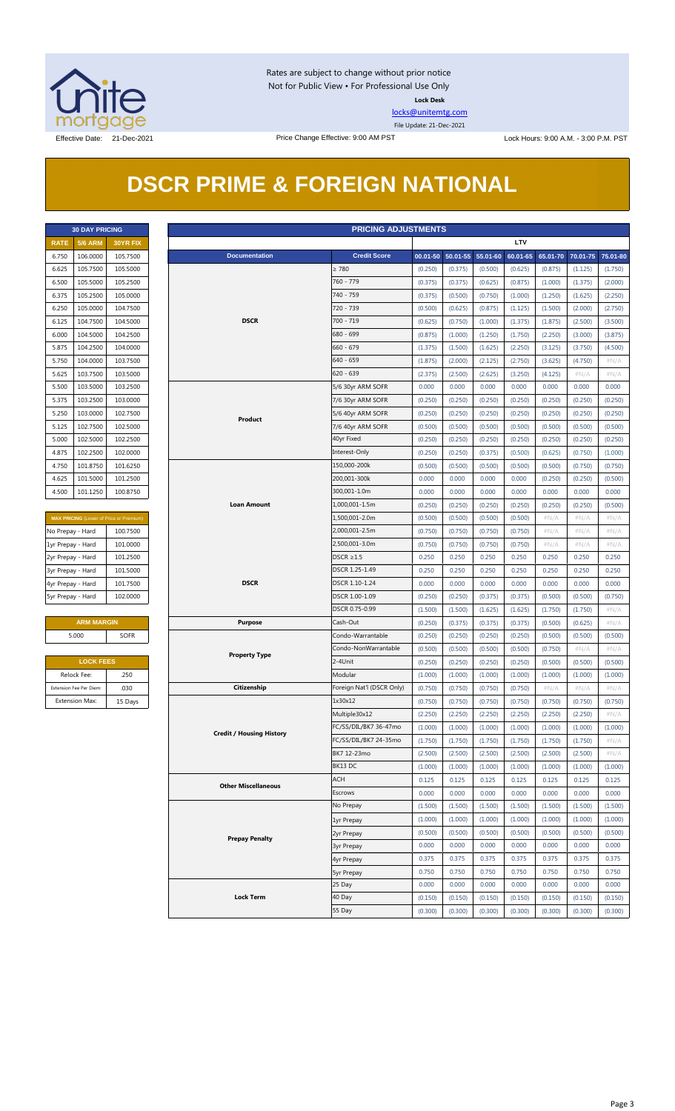

Rates are subject to change without prior notice Not for Public View • For Professional Use Only **Lock Desk**

[locks@unitemtg.com](mailto:locks@unitemtg.com)

File Update: 21-Dec-2021

## **DSCR PRIME & FOREIGN NATIONAL**

| <b>30 DAY PRICING</b> |                |          |  |  |  |  |  |
|-----------------------|----------------|----------|--|--|--|--|--|
| <b>RATE</b>           | <b>5/6 ARM</b> | 30YR FIX |  |  |  |  |  |
| 6.750                 | 106.0000       | 105.7500 |  |  |  |  |  |
| 6.625                 | 105.7500       | 105.5000 |  |  |  |  |  |
| 6.500                 | 105.5000       | 105.2500 |  |  |  |  |  |
| 6.375                 | 105.2500       | 105.0000 |  |  |  |  |  |
| 6.250                 | 105.0000       | 104.7500 |  |  |  |  |  |
| 6.125                 | 104.7500       | 104.5000 |  |  |  |  |  |
| 6.000                 | 104.5000       | 104.2500 |  |  |  |  |  |
| 5.875                 | 104.2500       | 104.0000 |  |  |  |  |  |
| 5.750                 | 104.0000       | 103.7500 |  |  |  |  |  |
| 5.625                 | 103.7500       | 103.5000 |  |  |  |  |  |
| 5.500                 | 103.5000       | 103.2500 |  |  |  |  |  |
| 5.375                 | 103.2500       | 103.0000 |  |  |  |  |  |
| 5.250                 | 103.0000       | 102.7500 |  |  |  |  |  |
| 5.125                 | 102.7500       | 102.5000 |  |  |  |  |  |
| 5.000                 | 102.5000       | 102.2500 |  |  |  |  |  |
| 4.875                 | 102.2500       | 102,0000 |  |  |  |  |  |
| 4.750                 | 101.8750       | 101.6250 |  |  |  |  |  |
| 4.625                 | 101.5000       | 101.2500 |  |  |  |  |  |
| 4.500                 | 101.1250       | 100.8750 |  |  |  |  |  |

| <b>MAX PRICING (Lower of Price or Premium)</b> |          |  |  |  |  |
|------------------------------------------------|----------|--|--|--|--|
| No Prepay - Hard                               | 100.7500 |  |  |  |  |
| 1yr Prepay - Hard                              | 101.0000 |  |  |  |  |
| 2yr Prepay - Hard                              | 101.2500 |  |  |  |  |
| 3yr Prepay - Hard                              | 101.5000 |  |  |  |  |
| 4yr Prepay - Hard                              | 101.7500 |  |  |  |  |
| 5yr Prepay - Hard                              | 102,0000 |  |  |  |  |

| <b>ARM MARGIN</b> |             |  |  |  |
|-------------------|-------------|--|--|--|
| 5.000             | <b>SOFR</b> |  |  |  |
|                   |             |  |  |  |

| <b>LOCK FEES</b>        |         |  |  |  |  |
|-------------------------|---------|--|--|--|--|
| Relock Fee:             | .250    |  |  |  |  |
| Extension Fee Per Diem: | .030    |  |  |  |  |
| <b>Extension Max:</b>   | 15 Days |  |  |  |  |

|                   | <b>30 DAY PRICING</b>   |                                         |                                 | <b>PRICING ADJUSTMENTS</b> |         |                            |         |            |         |                            |         |
|-------------------|-------------------------|-----------------------------------------|---------------------------------|----------------------------|---------|----------------------------|---------|------------|---------|----------------------------|---------|
| <b>RATE</b>       | <b>5/6 ARM</b>          | 30YR FIX                                |                                 |                            |         |                            |         | <b>LTV</b> |         |                            |         |
| 6.750             | 106.0000                | 105.7500                                | <b>Documentation</b>            | <b>Credit Score</b>        |         | 00.01-50 50.01-55 55.01-60 |         | 60.01-65   |         | 65.01-70 70.01-75 75.01-80 |         |
| 6.625             | 105.7500                | 105.5000                                |                                 | $\geq 780$                 | (0.250) | (0.375)                    | (0.500) | (0.625)    | (0.875) | (1.125)                    | (1.750) |
| 6.500             | 105.5000                | 105.2500                                |                                 | 760 - 779                  | (0.375) | (0.375)                    | (0.625) | (0.875)    | (1.000) | (1.375)                    | (2.000) |
| 6.375             | 105.2500                | 105.0000                                |                                 | 740 - 759                  | (0.375) | (0.500)                    | (0.750) | (1.000)    | (1.250) | (1.625)                    | (2.250) |
| 6.250             | 105.0000                | 104.7500                                |                                 | 720 - 739                  | (0.500) | (0.625)                    | (0.875) | (1.125)    | (1.500) | (2.000)                    | (2.750) |
| 6.125             | 104.7500                | 104.5000                                | <b>DSCR</b>                     | 700 - 719                  | (0.625) | (0.750)                    | (1.000) | (1.375)    | (1.875) | (2.500)                    | (3.500) |
| 6.000             | 104.5000                | 104.2500                                |                                 | 680 - 699                  | (0.875) | (1.000)                    | (1.250) | (1.750)    | (2.250) | (3.000)                    | (3.875) |
| 5.875             | 104.2500                | 104.0000                                |                                 | $660 - 679$                | (1.375) | (1.500)                    | (1.625) | (2.250)    | (3.125) | (3.750)                    | (4.500) |
| 5.750             | 104.0000                | 103.7500                                |                                 | 640 - 659                  | (1.875) | (2.000)                    | (2.125) | (2.750)    | (3.625) | (4.750)                    | $\#N/A$ |
| 5.625             | 103.7500                | 103.5000                                |                                 | $620 - 639$                | (2.375) | (2.500)                    | (2.625) | (3.250)    | (4.125) | # $N/A$                    | $\#N/A$ |
| 5.500             | 103.5000                | 103.2500                                |                                 | 5/6 30yr ARM SOFR          | 0.000   | 0.000                      | 0.000   | 0.000      | 0.000   | 0.000                      | 0.000   |
| 5.375             | 103.2500                | 103.0000                                |                                 | 7/6 30yr ARM SOFR          | (0.250) | (0.250)                    | (0.250) | (0.250)    | (0.250) | (0.250)                    | (0.250) |
| 5.250             | 103.0000                | 102.7500                                |                                 | 5/6 40yr ARM SOFR          | (0.250) | (0.250)                    | (0.250) | (0.250)    | (0.250) | (0.250)                    | (0.250) |
|                   |                         |                                         | Product                         |                            |         |                            |         |            |         |                            |         |
| 5.125             | 102.7500                | 102.5000                                |                                 | 7/6 40yr ARM SOFR          | (0.500) | (0.500)                    | (0.500) | (0.500)    | (0.500) | (0.500)                    | (0.500) |
| 5.000             | 102.5000                | 102.2500                                |                                 | 40yr Fixed                 | (0.250) | (0.250)                    | (0.250) | (0.250)    | (0.250) | (0.250)                    | (0.250) |
| 4.875             | 102.2500                | 102.0000                                |                                 | Interest-Only              | (0.250) | (0.250)                    | (0.375) | (0.500)    | (0.625) | (0.750)                    | (1.000) |
| 4.750             | 101.8750                | 101.6250                                |                                 | 150,000-200k               | (0.500) | (0.500)                    | (0.500) | (0.500)    | (0.500) | (0.750)                    | (0.750) |
| 4.625             | 101.5000                | 101.2500                                |                                 | 200,001-300k               | 0.000   | 0.000                      | 0.000   | 0.000      | (0.250) | (0.250)                    | (0.500) |
| 4.500             | 101.1250                | 100.8750                                |                                 | 300,001-1.0m               | 0.000   | 0.000                      | 0.000   | 0.000      | 0.000   | 0.000                      | 0.000   |
|                   |                         |                                         | <b>Loan Amount</b>              | 1,000,001-1.5m             | (0.250) | (0.250)                    | (0.250) | (0.250)    | (0.250) | (0.250)                    | (0.500) |
|                   |                         | MAX PRICING (Lower of Price or Premium) |                                 | 1,500,001-2.0m             | (0.500) | (0.500)                    | (0.500) | (0.500)    | $\#N/A$ | #N/A                       | $\#N/A$ |
| No Prepay - Hard  |                         | 100.7500                                |                                 | 2,000,001-2.5m             | (0.750) | (0.750)                    | (0.750) | (0.750)    | # $N/A$ | #N/A                       | $\#N/A$ |
| 1yr Prepay - Hard |                         | 101.0000                                |                                 | 2,500,001-3.0m             | (0.750) | (0.750)                    | (0.750) | (0.750)    | # $N/A$ | #N/A                       | $\#N/A$ |
| 2yr Prepay - Hard |                         | 101.2500                                |                                 | $DSCR \geq 1.5$            | 0.250   | 0.250                      | 0.250   | 0.250      | 0.250   | 0.250                      | 0.250   |
| 3yr Prepay - Hard |                         | 101.5000                                |                                 | DSCR 1.25-1.49             | 0.250   | 0.250                      | 0.250   | 0.250      | 0.250   | 0.250                      | 0.250   |
| 4yr Prepay - Hard |                         | 101.7500                                | <b>DSCR</b>                     | DSCR 1.10-1.24             | 0.000   | 0.000                      | 0.000   | 0.000      | 0.000   | 0.000                      | 0.000   |
| 5yr Prepay - Hard |                         | 102.0000                                |                                 | DSCR 1.00-1.09             | (0.250) | (0.250)                    | (0.375) | (0.375)    | (0.500) | (0.500)                    | (0.750) |
|                   |                         |                                         |                                 | DSCR 0.75-0.99             | (1.500) | (1.500)                    | (1.625) | (1.625)    | (1.750) | (1.750)                    | #N/A    |
|                   | <b>ARM MARGIN</b>       |                                         | <b>Purpose</b>                  | Cash-Out                   | (0.250) | (0.375)                    | (0.375) | (0.375)    | (0.500) | (0.625)                    | $\#N/A$ |
|                   | 5.000                   | <b>SOFR</b>                             |                                 | Condo-Warrantable          | (0.250) | (0.250)                    | (0.250) | (0.250)    | (0.500) | (0.500)                    | (0.500) |
|                   |                         |                                         |                                 | Condo-NonWarrantable       | (0.500) | (0.500)                    | (0.500) | (0.500)    | (0.750) | #N/A                       | #N/A    |
|                   | <b>LOCK FEES</b>        |                                         | <b>Property Type</b>            | 2-4Unit                    | (0.250) | (0.250)                    | (0.250) | (0.250)    | (0.500) | (0.500)                    | (0.500) |
|                   | Relock Fee:             | .250                                    |                                 | Modular                    | (1.000) | (1.000)                    | (1.000) | (1.000)    | (1.000) | (1.000)                    | (1.000) |
|                   | Extension Fee Per Diem: | .030                                    | Citizenship                     | Foreign Nat'l (DSCR Only)  | (0.750) | (0.750)                    | (0.750) | (0.750)    | $\#N/A$ | $\#N/A$                    | $\#N/A$ |
|                   | Extension Max:          | 15 Days                                 |                                 | 1x30x12                    | (0.750) | (0.750)                    | (0.750) | (0.750)    | (0.750) | (0.750)                    | (0.750) |
|                   |                         |                                         |                                 | Multiple30x12              | (2.250) | (2.250)                    | (2.250) | (2.250)    | (2.250) | (2.250)                    | $\#N/A$ |
|                   |                         |                                         |                                 | FC/SS/DIL/BK7 36-47mo      | (1.000) | (1.000)                    | (1.000) | (1.000)    | (1.000) | (1.000)                    | (1.000) |
|                   |                         |                                         | <b>Credit / Housing History</b> | FC/SS/DIL/BK7 24-35mo      | (1.750) | (1.750)                    | (1.750) | (1.750)    | (1.750) | (1.750)                    | $\#N/A$ |
|                   |                         |                                         |                                 | BK7 12-23mo                | (2.500) | (2.500)                    | (2.500) | (2.500)    | (2.500) | (2.500)                    | # $N/A$ |
|                   |                         |                                         |                                 | BK13 DC                    | (1.000) | (1.000)                    | (1.000) | (1.000)    | (1.000) | (1.000)                    | (1.000) |
|                   |                         |                                         |                                 | <b>ACH</b>                 | 0.125   | 0.125                      | 0.125   | 0.125      | 0.125   | 0.125                      | 0.125   |
|                   |                         |                                         | <b>Other Miscellaneous</b>      | Escrows                    |         |                            |         |            |         |                            |         |
|                   |                         |                                         |                                 |                            | 0.000   | 0.000                      | 0.000   | 0.000      | 0.000   | 0.000                      | 0.000   |
|                   |                         |                                         |                                 | No Prepay                  | (1.500) | (1.500)                    | (1.500) | (1.500)    | (1.500) | (1.500)                    | (1.500) |
|                   |                         |                                         |                                 | 1yr Prepay                 | (1.000) | (1.000)                    | (1.000) | (1.000)    | (1.000) | (1.000)                    | (1.000) |
|                   |                         |                                         | <b>Prepay Penalty</b>           | 2yr Prepay                 | (0.500) | (0.500)                    | (0.500) | (0.500)    | (0.500) | (0.500)                    | (0.500) |
|                   |                         |                                         |                                 | <b>3yr Prepay</b>          | 0.000   | 0.000                      | 0.000   | 0.000      | 0.000   | 0.000                      | 0.000   |
|                   |                         |                                         |                                 | 4yr Prepay                 | 0.375   | 0.375                      | 0.375   | 0.375      | 0.375   | 0.375                      | 0.375   |
|                   |                         |                                         |                                 | <b>5yr Prepay</b>          | 0.750   | 0.750                      | 0.750   | 0.750      | 0.750   | 0.750                      | 0.750   |
|                   |                         |                                         |                                 | 25 Day                     | 0.000   | 0.000                      | 0.000   | 0.000      | 0.000   | 0.000                      | 0.000   |
|                   |                         |                                         | <b>Lock Term</b>                | 40 Day                     | (0.150) | (0.150)                    | (0.150) | (0.150)    | (0.150) | (0.150)                    | (0.150) |
|                   |                         |                                         |                                 | 55 Day                     | (0.300) | (0.300)                    | (0.300) | (0.300)    | (0.300) | (0.300)                    | (0.300) |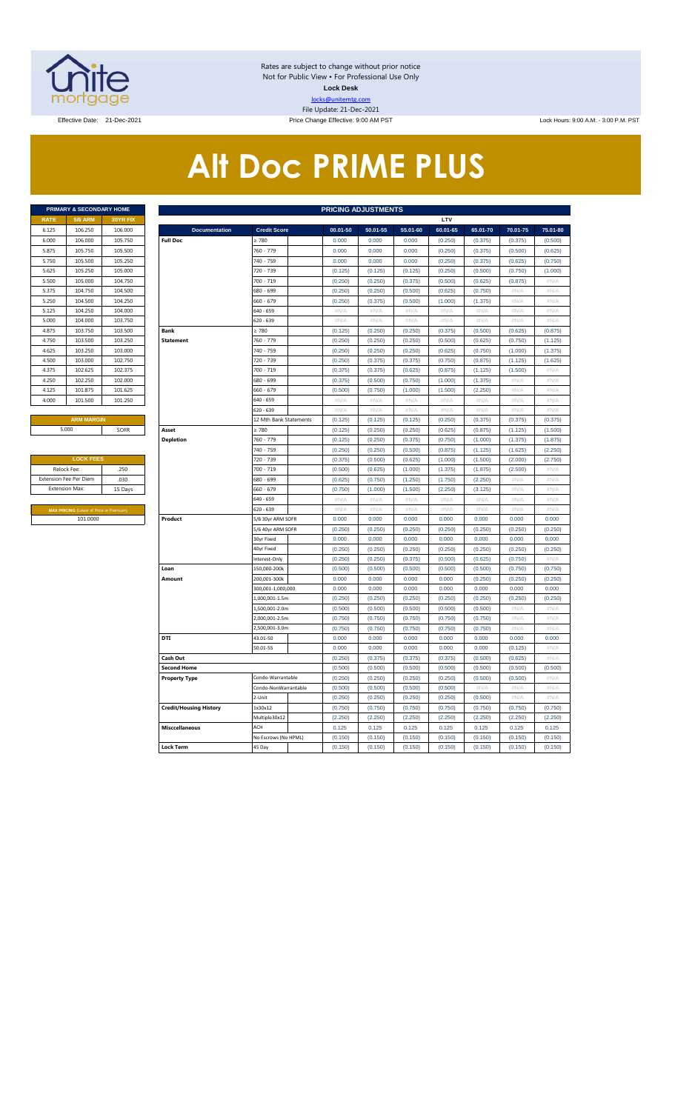

Rates are subject to change without prior notice Not for Public View • For Professional Use Only **Lock Desk** locks@unitemtg.com File Update: 21-Dec-2021

Effective Date: 21-Dec-2021 **Price Change Effective: 9:00 AM PST** Lock Hours: 9:00 A.M. - 3:00 P.M. PST

# **Alt Doc PRIME PLUS**

|             | <b>PRIMARY &amp; SECONDARY HOME</b> |                 |
|-------------|-------------------------------------|-----------------|
| <b>RATE</b> | <b>5/6 ARM</b>                      | <b>30YR FIX</b> |
| 6.125       | 106.250                             | 106,000         |
| 6.000       | 106,000                             | 105.750         |
| 5.875       | 105.750                             | 105.500         |
| 5.750       | 105.500                             | 105.250         |
| 5.625       | 105.250                             | 105.000         |
| 5.500       | 105,000                             | 104.750         |
| 5.375       | 104.750                             | 104.500         |
| 5.250       | 104.500                             | 104.250         |
| 5.125       | 104.250                             | 104.000         |
| 5.000       | 104.000                             | 103.750         |
| 4.875       | 103.750                             | 103.500         |
| 4.750       | 103.500                             | 103.250         |
| 4.625       | 103.250                             | 103.000         |
| 4.500       | 103,000                             | 102.750         |
| 4.375       | 102.625                             | 102.375         |
| 4.250       | 102.250                             | 102,000         |
| 4.125       | 101.875                             | 101.625         |
| 4.000       | 101.500                             | 101.250         |
|             |                                     |                 |

| <b>LOCK FEES</b>                               |         |
|------------------------------------------------|---------|
| Relock Fee:                                    | .250    |
| <b>Extension Fee Per Diem</b>                  | .030    |
| <b>Extension Max:</b>                          | 15 Days |
|                                                |         |
| <b>MAX PRICING (Lower of Price or Premium)</b> |         |
| 101,0000                                       |         |

|                     | <b>PRIMARY &amp; SECONDARY HOME</b>            |                 |                               |                        |          | <b>PRICING ADJUSTMENTS</b> |          |          |          |          |          |
|---------------------|------------------------------------------------|-----------------|-------------------------------|------------------------|----------|----------------------------|----------|----------|----------|----------|----------|
| <b>RATE</b>         | <b>5/6 ARM</b>                                 | <b>30YR FIX</b> |                               |                        |          |                            |          | LTV      |          |          |          |
| 6.125               | 106.250                                        | 106.000         | <b>Documentation</b>          | <b>Credit Score</b>    | 00.01-50 | 50.01-55                   | 55.01-60 | 60.01-65 | 65.01-70 | 70.01-75 | 75.01-80 |
| 6.000               | 106.000                                        | 105.750         | <b>Full Doc</b>               | $\geq 780$             | 0.000    | 0.000                      | 0.000    | (0.250)  | (0.375)  | (0.375)  | (0.500)  |
| 5.875               | 105.750                                        | 105.500         |                               | 760 - 779              | 0.000    | 0.000                      | 0.000    | (0.250)  | (0.375)  | (0.500)  | (0.625)  |
| 5.750               | 105.500                                        | 105.250         |                               | 740 - 759              | 0.000    | 0.000                      | 0.000    | (0.250)  | (0.375)  | (0.625)  | (0.750)  |
| 5.625               | 105.250                                        | 105.000         |                               | 720 - 739              | (0.125)  | (0.125)                    | (0.125)  | (0.250)  | (0.500)  | (0.750)  | (1.000)  |
| 5.500               | 105.000                                        | 104.750         |                               | 700 - 719              | (0.250)  | (0.250)                    | (0.375)  | (0.500)  | (0.625)  | (0.875)  | $\#N/A$  |
| 5.375               | 104.750                                        | 104.500         |                               | 680 - 699              | (0.250)  | (0.250)                    | (0.500)  | (0.625)  | (0.750)  | #N/A     | #N/A     |
| 5.250               | 104.500                                        | 104.250         |                               | 660 - 679              | (0.250)  | (0.375)                    | (0.500)  | (1.000)  | (1.375)  | #N/A     | #N/A     |
| 5.125               | 104.250                                        | 104.000         |                               | 640 - 659              | $\#N/A$  | #N/A                       | $\#N/A$  | #N/A     | $\#N/A$  | #N/A     | $\#N/A$  |
| 5.000               | 104.000                                        | 103.750         |                               | 620 - 639              | #N/A     | #N/A                       | #N/A     | #N/A     | #N/A     | #N/A     | #N/A     |
| 4.875               | 103.750                                        | 103.500         | Bank                          | $\geq 780$             | (0.125)  | (0.250)                    | (0.250)  | (0.375)  | (0.500)  | (0.625)  | (0.875)  |
| 4.750               | 103.500                                        | 103.250         | <b>Statement</b>              | 760 - 779              | (0.250)  | (0.250)                    | (0.250)  | (0.500)  | (0.625)  | (0.750)  | (1.125)  |
| 4.625               | 103.250                                        | 103.000         |                               | 740 - 759              | (0.250)  | (0.250)                    | (0.250)  | (0.625)  | (0.750)  | (1.000)  | (1.375)  |
| 4.500               | 103.000                                        | 102.750         |                               | 720 - 739              | (0.250)  | (0.375)                    | (0.375)  | (0.750)  | (0.875)  | (1.125)  | (1.625)  |
| 4.375               | 102.625                                        | 102.375         |                               | 700 - 719              | (0.375)  | (0.375)                    | (0.625)  | (0.875)  | (1.125)  | (1.500)  | #N/A     |
| 4.250               | 102.250                                        | 102.000         |                               | 680 - 699              | (0.375)  | (0.500)                    | (0.750)  | (1.000)  | (1.375)  | # $N/A$  | #N/A     |
| 4.125               | 101.875                                        | 101.625         |                               | 660 - 679              | (0.500)  | (0.750)                    | (1.000)  | (1.500)  | (2.250)  | #N/A     | #N/A     |
| 4.000               | 101.500                                        | 101.250         |                               | 640 - 659              | #N/A     | #N/A                       | #N/A     | #N/A     | $\#N/A$  | #N/A     | #N/A     |
|                     |                                                |                 |                               | 620 - 639              | #N/A     | #N/A                       | #N/A     | #N/A     | #N/A     | #N/A     | #N/A     |
|                     | <b>ARM MARGIN</b>                              |                 |                               | 12 Mth Bank Statements | (0.125)  | (0.125)                    | (0.125)  | (0.250)  | (0.375)  | (0.375)  | (0.375)  |
|                     | 5.000                                          | SOFR            | Asset                         | $\geq 780$             | (0.125)  | (0.250)                    | (0.250)  | (0.625)  | (0.875)  | (1.125)  | (1.500)  |
|                     |                                                |                 | <b>Depletion</b>              | 760 - 779              | (0.125)  | (0.250)                    | (0.375)  | (0.750)  | (1.000)  | (1.375)  | (1.875)  |
|                     |                                                |                 |                               | 740 - 759              | (0.250)  | (0.250)                    | (0.500)  | (0.875)  | (1.125)  | (1.625)  | (2.250)  |
|                     | <b>LOCK FEES</b>                               |                 |                               | 720 - 739              | (0.375)  | (0.500)                    | (0.625)  | (1.000)  | (1.500)  | (2.000)  | (2.750)  |
| Relock Fee:<br>.250 |                                                |                 |                               | 700 - 719              | (0.500)  | (0.625)                    | (1.000)  | (1.375)  | (1.875)  | (2.500)  | $\#N/A$  |
|                     | xtension Fee Per Diem                          | .030            |                               | 680 - 699              | (0.625)  | (0.750)                    | (1.250)  | (1.750)  | (2.250)  | #N/A     | #N/A     |
|                     | Extension Max:                                 | 15 Days         |                               | 660 - 679              | (0.750)  | (1.000)                    | (1.500)  | (2.250)  | (3.125)  | #N/A     | $\#N/A$  |
|                     |                                                |                 |                               | 640 - 659              | #N/A     | #N/A                       | $\#N/A$  | #N/A     | $\#N/A$  | #N/A     | #N/A     |
|                     | <b>MAX PRICING (Lower of Price or Premium)</b> |                 |                               | 620 - 639              | #N/A     | #N/A                       | #N/A     | #N/A     | #N/A     | #N/A     | #N/A     |
|                     | 101.0000                                       |                 | Product                       | 5/6 30yr ARM SOFR      | 0.000    | 0.000                      | 0.000    | 0.000    | 0.000    | 0.000    | 0.000    |
|                     |                                                |                 |                               | 5/6 40yr ARM SOFR      | (0.250)  | (0.250)                    | (0.250)  | (0.250)  | (0.250)  | (0.250)  | (0.250)  |
|                     |                                                |                 |                               | 30yr Fixed             | 0.000    | 0.000                      | 0.000    | 0.000    | 0.000    | 0.000    | 0.000    |
|                     |                                                |                 |                               | 40yr Fixed             | (0.250)  | (0.250)                    | (0.250)  | (0.250)  | (0.250)  | (0.250)  | (0.250)  |
|                     |                                                |                 |                               | Interest-Only          | (0.250)  | (0.250)                    | (0.375)  | (0.500)  | (0.625)  | (0.750)  | $\#N/A$  |
|                     |                                                |                 | Loan                          | 150,000-200k           | (0.500)  | (0.500)                    | (0.500)  | (0.500)  | (0.500)  | (0.750)  | (0.750)  |
|                     |                                                |                 | Amount                        | 200,001-300k           | 0.000    | 0.000                      | 0.000    | 0.000    | (0.250)  | (0.250)  | (0.250)  |
|                     |                                                |                 |                               | 300,001-1,000,000      | 0.000    | 0.000                      | 0.000    | 0.000    | 0.000    | 0.000    | 0.000    |
|                     |                                                |                 |                               | 1.000.001-1.5m         | (0.250)  | (0.250)                    | (0.250)  | (0.250)  | (0.250)  | (0.250)  | (0.250)  |
|                     |                                                |                 |                               | 1,500,001-2.0m         | (0.500)  | (0.500)                    | (0.500)  | (0.500)  | (0.500)  | #N/A     | #N/A     |
|                     |                                                |                 |                               | 2,000,001-2.5m         | (0.750)  | (0.750)                    | (0.750)  | (0.750)  | (0.750)  | #N/A     | $\#N/A$  |
|                     |                                                |                 |                               | 2,500,001-3.0m         | (0.750)  | (0.750)                    | (0.750)  | (0.750)  | (0.750)  | #N/A     | #N/A     |
|                     |                                                |                 | DTI                           | 43.01-50               | 0.000    | 0.000                      | 0.000    | 0.000    | 0.000    | 0.000    | 0.000    |
|                     |                                                |                 |                               | 50.01-55               | 0.000    | 0.000                      | 0.000    | 0.000    | 0.000    | (0.125)  | # $N/A$  |
|                     |                                                |                 | Cash Out                      |                        | (0.250)  | (0.375)                    | (0.375)  | (0.375)  | (0.500)  | (0.625)  | #N/A     |
|                     |                                                |                 | <b>Second Home</b>            |                        | (0.500)  | (0.500)                    | (0.500)  | (0.500)  | (0.500)  | (0.500)  | (0.500)  |
|                     |                                                |                 | <b>Property Type</b>          | Condo-Warrantable      | (0.250)  | (0.250)                    | (0.250)  | (0.250)  | (0.500)  | (0.500)  | #N/A     |
|                     |                                                |                 |                               | Condo-NonWarrantable   | (0.500)  | (0.500)                    | (0.500)  | (0.500)  | $\#N/A$  | #N/A     | #N/A     |
|                     |                                                |                 |                               | 2-Unit                 | (0.250)  | (0.250)                    | (0.250)  | (0.250)  | (0.500)  | #N/A     | #N/A     |
|                     |                                                |                 | <b>Credit/Housing History</b> | 1x30x12                | (0.750)  | (0.750)                    | (0.750)  | (0.750)  | (0.750)  | (0.750)  | (0.750)  |
|                     |                                                |                 |                               | Multiple30x12          | (2.250)  | (2.250)                    | (2.250)  | (2.250)  | (2.250)  | (2.250)  | (2.250)  |
|                     |                                                |                 | <b>Misccellaneous</b>         | ACH                    | 0.125    | 0.125                      | 0.125    | 0.125    | 0.125    | 0.125    | 0.125    |
|                     |                                                |                 |                               | No Escrows (No HPML)   | (0.150)  | (0.150)                    | (0.150)  | (0.150)  | (0.150)  | (0.150)  | (0.150)  |
|                     |                                                |                 | <b>Lock Term</b>              | 45 Day                 | (0.150)  | (0.150)                    | (0.150)  | (0.150)  | (0.150)  | (0.150)  | (0.150)  |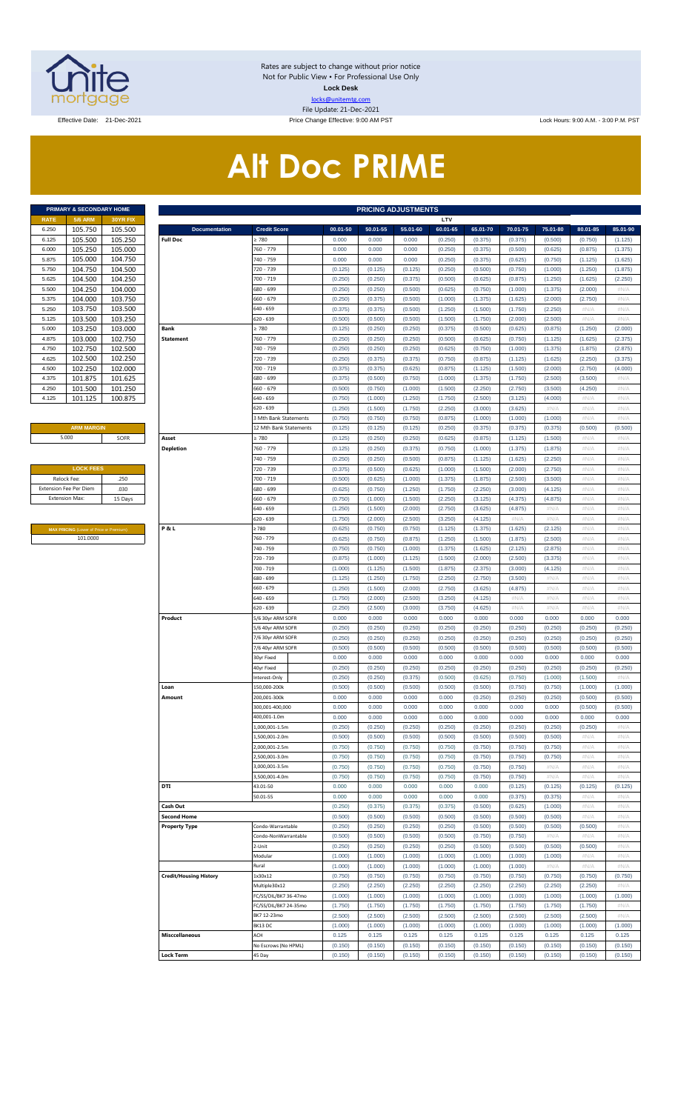

Rates are subject to change without prior notice Not for Public View • For Professional Use Only **Lock Desk** locks@unitemtg.com File Update: 21-Dec-2021

Effective Date: 21-Dec-2021 **Price Change Effective: 9:00 AM PST** Lock Hours: 9:00 A.M. - 3:00 P.M. PST

# **Alt Doc PRIME**

|             | <b>PRIMARY &amp; SECONDARY HOME</b> |                 |
|-------------|-------------------------------------|-----------------|
| <b>RATE</b> | <b>5/6 ARM</b>                      | <b>30YR FIX</b> |
| 6.250       | 105.750                             | 105.500         |
| 6.125       | 105.500                             | 105.250         |
| 6.000       | 105.250                             | 105.000         |
| 5.875       | 105.000                             | 104.750         |
| 5.750       | 104.750                             | 104.500         |
| 5.625       | 104.500                             | 104.250         |
| 5.500       | 104.250                             | 104.000         |
| 5.375       | 104.000                             | 103.750         |
| 5.250       | 103.750                             | 103.500         |
| 5.125       | 103.500                             | 103.250         |
| 5.000       | 103.250                             | 103.000         |
| 4.875       | 103.000                             | 102.750         |
| 4.750       | 102.750                             | 102.500         |
| 4.625       | 102.500                             | 102.250         |
| 4.500       | 102.250                             | 102.000         |
| 4.375       | 101.875                             | 101.625         |
| 4.250       | 101.500                             | 101.250         |
| 4.125       | 101.125                             | 100.875         |

#### **ARM MARGIN** 5.000

| <b>LOCK FEES</b>              |         |
|-------------------------------|---------|
| Relock Fee:                   | .250    |
| <b>Extension Fee Per Diem</b> | .030    |
| <b>Extension Max:</b>         | 15 Days |
|                               |         |

**MAX PRICING** (Lower of Price or Premium) 101.0000

|                       | PRIMARY & SECONDARY HOME                |                    |                                         |                                |                    | <b>PRICING ADJUSTMENTS</b> |                    |                     |                     |                     |                     |                     |                     |
|-----------------------|-----------------------------------------|--------------------|-----------------------------------------|--------------------------------|--------------------|----------------------------|--------------------|---------------------|---------------------|---------------------|---------------------|---------------------|---------------------|
| RATE                  | <b>5/6 ARM</b>                          | 30YR FIX           |                                         |                                |                    |                            |                    | LTV                 |                     |                     |                     |                     |                     |
| 6.250<br>6.125        | 105.750<br>105.500                      | 105.500<br>105.250 | <b>Documentation</b><br><b>Full Doc</b> | <b>Credit Score</b><br>: 780   | 00.01-50<br>0.000  | 50.01-55<br>0.000          | 55.01-60<br>0.000  | 60.01-65<br>(0.250) | 65.01-70<br>(0.375) | 70.01-75<br>(0.375) | 75.01-80<br>(0.500) | 80.01-85<br>(0.750) | 85.01-90<br>(1.125) |
| 6.000                 | 105.250                                 | 105.000            |                                         | 760 - 779                      | 0.000              | 0.000                      | 0.000              | (0.250)             | (0.375)             | (0.500)             | (0.625)             | (0.875)             | (1.375)             |
| 5.875                 | 105.000                                 | 104.750            |                                         | 740 - 759                      | 0.000              | 0.000                      | 0.000              | (0.250)             | (0.375)             | (0.625)             | (0.750)             | (1.125)             | (1.625)             |
| 5.750                 | 104.750                                 | 104.500            |                                         | 720 - 739                      | (0.125)            | (0.125)                    | (0.125)            | (0.250)             | (0.500)             | (0.750)             | (1.000)             | (1.250)             | (1.875)             |
| 5.625                 | 104.500                                 | 104.250            |                                         | 700 - 719                      | (0.250)            | (0.250)                    | (0.375)            | (0.500)             | (0.625)             | (0.875)             | (1.250)             | (1.625)             | (2.250)             |
| 5.500                 | 104.250                                 | 104.000            |                                         | 680 - 699                      | (0.250)            | (0.250)                    | (0.500)            | (0.625)             | (0.750)             | (1.000)             | (1.375)             | (2.000)             | #N/A                |
| 5.375                 | 104.000                                 | 103.750            |                                         | 660 - 679                      | (0.250)            | (0.375)                    | (0.500)            | (1.000)             | (1.375)             | (1.625)             | (2.000)             | (2.750)             | #N/A                |
| 5.250                 | 103.750                                 | 103.500            |                                         | 640 - 659                      | (0.375)            | (0.375)                    | (0.500)            | (1.250)             | (1.500)             | (1.750)             | (2.250)             | #N/A                | #N/A                |
| 5.125                 | 103.500                                 | 103.250            |                                         | 620 - 639                      | (0.500)            | (0.500)                    | (0.500)            | (1.500)             | (1.750)             | (2.000)             | (2.500)             | #N/A                | #N/A                |
| 5.000                 | 103.250                                 | 103.000            | Bank                                    | : 780                          | (0.125)            | (0.250)                    | (0.250)            | (0.375)             | (0.500)             | (0.625)             | (0.875)             | (1.250)             | (2.000)             |
| 4.875<br>4.750        | 103.000<br>102.750                      | 102.750<br>102.500 | <b>Statement</b>                        | 760 - 779<br>740 - 759         | (0.250)<br>(0.250) | (0.250)<br>(0.250)         | (0.250)<br>(0.250) | (0.500)<br>(0.625)  | (0.625)<br>(0.750)  | (0.750)<br>(1.000)  | (1.125)<br>(1.375)  | (1.625)<br>(1.875)  | (2.375)<br>(2.875)  |
| 4.625                 | 102.500                                 | 102.250            |                                         | 720 - 739                      | (0.250)            | (0.375)                    | (0.375)            | (0.750)             | (0.875)             | (1.125)             | (1.625)             | (2.250)             | (3.375)             |
| 4.500                 | 102.250                                 | 102.000            |                                         | 700 - 719                      | (0.375)            | (0.375)                    | (0.625)            | (0.875)             | (1.125)             | (1.500)             | (2.000)             | (2.750)             | (4.000)             |
| 4.375                 | 101.875                                 | 101.625            |                                         | 680 - 699                      | (0.375)            | (0.500)                    | (0.750)            | (1.000)             | (1.375)             | (1.750)             | (2.500)             | (3.500)             | #N/A                |
| 4.250                 | 101.500                                 | 101.250            |                                         | 660 - 679                      | (0.500)            | (0.750)                    | (1.000)            | (1.500)             | (2.250)             | (2.750)             | (3.500)             | (4.250)             | #N/A                |
| 4.125                 | 101.125                                 | 100.875            |                                         | 640 - 659                      | (0.750)            | (1.000)                    | (1.250)            | (1.750)             | (2.500)             | (3.125)             | (4.000)             | #N/A                | #N/A                |
|                       |                                         |                    |                                         | 620 - 639                      | (1.250)            | (1.500)                    | (1.750)            | (2.250)             | (3.000)             | (3.625)             | #N/A                | #N/A                | #N/A                |
|                       |                                         |                    |                                         | 3 Mth Bank Statements          | (0.750)            | (0.750)                    | (0.750)            | (0.875)             | (1.000)             | (1.000)             | (1.000)             | #N/A                | #N/A                |
|                       | <b>ARM MARGIN</b><br>5.000              |                    |                                         | 12 Mth Bank Statements         | (0.125)            | (0.125)                    | (0.125)            | (0.250)             | (0.375)             | (0.375)             | (0.375)             | (0.500)             | (0.500)             |
|                       |                                         | SOFR               | Asset                                   | 2780                           | (0.125)            | (0.250)                    | (0.250)            | (0.625)             | (0.875)             | (1.125)             | (1.500)             | #N/A                | #N/A                |
|                       |                                         |                    | <b>Depletion</b>                        | 760 - 779                      | (0.125)            | (0.250)                    | (0.375)            | (0.750)             | (1.000)             | (1.375)             | (1.875)             | #N/A                | #N/A                |
|                       | <b>LOCK FEES</b>                        |                    |                                         | 740 - 759<br>720 - 739         | (0.250)<br>(0.375) | (0.250)<br>(0.500)         | (0.500)<br>(0.625) | (0.875)<br>(1.000)  | (1.125)<br>(1.500)  | (1.625)<br>(2.000)  | (2.250)<br>(2.750)  | $\#N/A$<br>$\#N/A$  | #N/A<br>#N/A        |
| Relock Fee:           |                                         | .250               |                                         | 700 - 719                      | (0.500)            | (0.625)                    | (1.000)            | (1.375)             | (1.875)             | (2.500)             | (3.500)             | $\#N/A$             | #N/A                |
|                       | xtension Fee Per Diem                   | .030               |                                         | 680 - 699                      | (0.625)            | (0.750)                    | (1.250)            | (1.750)             | (2.250)             | (3.000)             | (4.125)             | # $N/A$             | #N/A                |
| <b>Extension Max:</b> |                                         | 15 Days            |                                         | 660 - 679                      | (0.750)            | (1.000)                    | (1.500)            | (2.250)             | (3.125)             | (4.375)             | (4.875)             | $\#N/A$             | #N/A                |
|                       |                                         |                    |                                         | 640 - 659                      | (1.250)            | (1.500)                    | (2.000)            | (2.750)             | (3.625)             | (4.875)             | #N/A                | $\#N/A$             | #N/A                |
|                       |                                         |                    |                                         | 620 - 639                      | (1.750)            | (2.000)                    | (2.500)            | (3.250)             | (4.125)             | #N/A                | #N/A                | $\#N/A$             | #N/A                |
|                       | MAX PRICING (Lower of Price or Premium) |                    | P&L                                     | 2780                           | (0.625)            | (0.750)                    | (0.750)            | (1.125)             | (1.375)             | (1.625)             | (2.125)             | $\#N/A$             | #N/A                |
|                       | 101.0000                                |                    |                                         | 760 - 779                      | (0.625)            | (0.750)                    | (0.875)            | (1.250)             | (1.500)             | (1.875)             | (2.500)             | $\#N/A$             | #N/A                |
|                       |                                         |                    |                                         | 740 - 759                      | (0.750)            | (0.750)                    | (1.000)            | (1.375)             | (1.625)             | (2.125)             | (2.875)             | # $N/A$             | #N/A                |
|                       |                                         |                    |                                         | 720 - 739                      | (0.875)            | (1.000)                    | (1.125)            | (1.500)             | (2.000)             | (2.500)             | (3.375)             | $\#N/A$             | #N/A                |
|                       |                                         |                    |                                         | 700 - 719<br>680 - 699         | (1.000)<br>(1.125) | (1.125)<br>(1.250)         | (1.500)<br>(1.750) | (1.875)<br>(2.250)  | (2.375)<br>(2.750)  | (3.000)<br>(3.500)  | (4.125)<br>#N/A     | $\#N/A$<br>$\#N/A$  | #N/A<br>#N/A        |
|                       |                                         |                    |                                         | 660 - 679                      | (1.250)            | (1.500)                    | (2.000)            | (2.750)             | (3.625)             | (4.875)             | #N/A                | $\#N/A$             | #N/A                |
|                       |                                         |                    |                                         | 640 - 659                      | (1.750)            | (2.000)                    | (2.500)            | (3.250)             | (4.125)             | #N/A                | #N/A                | $\#N/A$             | #N/A                |
|                       |                                         |                    |                                         | 620 - 639                      | (2.250)            | (2.500)                    | (3.000)            | (3.750)             | (4.625)             | #N/A                | #N/A                | $\#N/A$             | #N/A                |
|                       |                                         |                    | Product                                 | 5/6 30yr ARM SOFR              | 0.000              | 0.000                      | 0.000              | 0.000               | 0.000               | 0.000               | 0.000               | 0.000               | 0.000               |
|                       |                                         |                    |                                         | 5/6 40yr ARM SOFR              | (0.250)            | (0.250)                    | (0.250)            | (0.250)             | (0.250)             | (0.250)             | (0.250)             | (0.250)             | (0.250)             |
|                       |                                         |                    |                                         | 7/6 30yr ARM SOFR              | (0.250)            | (0.250)                    | (0.250)            | (0.250)             | (0.250)             | (0.250)             | (0.250)             | (0.250)             | (0.250)             |
|                       |                                         |                    |                                         | 7/6 40yr ARM SOFR              | (0.500)            | (0.500)                    | (0.500)            | (0.500)             | (0.500)             | (0.500)             | (0.500)             | (0.500)             | (0.500)             |
|                       |                                         |                    |                                         | 30yr Fixed                     | 0.000              | 0.000                      | 0.000              | 0.000               | 0.000               | 0.000               | 0.000               | 0.000               | 0.000               |
|                       |                                         |                    |                                         | 40yr Fixed<br>nterest-Only     | (0.250)<br>(0.250) | (0.250)<br>(0.250)         | (0.250)<br>(0.375) | (0.250)<br>(0.500)  | (0.250)<br>(0.625)  | (0.250)<br>(0.750)  | (0.250)<br>(1.000)  | (0.250)<br>(1.500)  | (0.250)<br>#N/A     |
|                       |                                         |                    | Loan                                    | 150,000-200k                   | (0.500)            | (0.500)                    | (0.500)            | (0.500)             | (0.500)             | (0.750)             | (0.750)             | (1.000)             | (1.000)             |
|                       |                                         |                    | Amount                                  | 200,001-300k                   | 0.000              | 0.000                      | 0.000              | 0.000               | (0.250)             | (0.250)             | (0.250)             | (0.500)             | (0.500)             |
|                       |                                         |                    |                                         | 300,001-400,000                | 0.000              | 0.000                      | 0.000              | 0.000               | 0.000               | 0.000               | 0.000               | (0.500)             | (0.500)             |
|                       |                                         |                    |                                         | 400,001-1.0m                   | 0.000              | 0.000                      | 0.000              | 0.000               | 0.000               | 0.000               | 0.000               | 0.000               | 0.000               |
|                       |                                         |                    |                                         | .,000,001-1.5m                 | (0.250)            | (0.250)                    | (0.250)            | (0.250)             | (0.250)             | (0.250)             | (0.250)             | (0.250)             | #N/A                |
|                       |                                         |                    |                                         | ,500,001-2.0m                  | (0.500)            | (0.500)                    | (0.500)            | (0.500)             | (0.500)             | (0.500)             | (0.500)             | $\#N/A$             | #N/A                |
|                       |                                         |                    |                                         | .000,001-2.5m                  | (0.750)            | (0.750)                    | (0.750)            | (0.750)             | (0.750)             | (0.750)             | (0.750)             | # $N/A$             | #N/A                |
|                       |                                         |                    |                                         | ,500,001-3.0m                  | (0.750)            | (0.750)                    | (0.750)            | (0.750)             | (0.750)             | (0.750)             | (0.750)             | $\#N/A$             | #N/A                |
|                       |                                         |                    |                                         | 3,000,001-3.5m<br>500,001-4.0m | (0.750)<br>(0.750) | (0.750)<br>(0.750)         | (0.750)<br>(0.750) | (0.750)<br>(0.750)  | (0.750)<br>(0.750)  | (0.750)<br>(0.750)  | #N/A<br>#N/A        | # $N/A$<br>$\#N/A$  | #N/A<br>#N/A        |
|                       |                                         |                    | DTI                                     | 43.01-50                       | 0.000              | 0.000                      | 0.000              | 0.000               | 0.000               | (0.125)             | (0.125)             | (0.125)             | (0.125)             |
|                       |                                         |                    |                                         | 50.01-55                       | 0.000              | 0.000                      | 0.000              | 0.000               | 0.000               | (0.375)             | (0.375)             | $\#N/A$             | #N/A                |
|                       |                                         |                    | Cash Out                                |                                | (0.250)            | (0.375)                    | (0.375)            | (0.375)             | (0.500)             | (0.625)             | (1.000)             | # $N/A$             | #N/A                |
|                       |                                         |                    | <b>Second Home</b>                      |                                | (0.500)            | (0.500)                    | (0.500)            | (0.500)             | (0.500)             | (0.500)             | (0.500)             | $\#N/A$             | #N/A                |
|                       |                                         |                    | <b>Property Type</b>                    | Condo-Warrantable              | (0.250)            | (0.250)                    | (0.250)            | (0.250)             | (0.500)             | (0.500)             | (0.500)             | (0.500)             | #N/A                |
|                       |                                         |                    |                                         | Condo-NonWarrantable           | (0.500)            | (0.500)                    | (0.500)            | (0.500)             | (0.750)             | (0.750)             | #N/A                | $\#N/A$             | #N/A                |
|                       |                                         |                    |                                         | !-Unit                         | (0.250)            | (0.250)                    | (0.250)            | (0.250)             | (0.500)             | (0.500)             | (0.500)             | (0.500)             | #N/A                |
|                       |                                         |                    |                                         | Modular<br>Rural               | (1.000)<br>(1.000) | (1.000)<br>(1.000)         | (1.000)<br>(1.000) | (1.000)<br>(1.000)  | (1.000)<br>(1.000)  | (1.000)<br>(1.000)  | (1.000)<br>#N/A     | $\#N/A$<br># $N/A$  | #N/A<br># $N/A$     |
|                       |                                         |                    | <b>Credit/Housing History</b>           | 1x30x12                        | (0.750)            | (0.750)                    | (0.750)            | (0.750)             | (0.750)             | (0.750)             | (0.750)             | (0.750)             | (0.750)             |
|                       |                                         |                    |                                         | Multiple30x12                  | (2.250)            | (2.250)                    | (2.250)            | (2.250)             | (2.250)             | (2.250)             | (2.250)             | (2.250)             | #N/A                |
|                       |                                         |                    |                                         | FC/SS/DIL/BK7 36-47mo          | (1.000)            | (1.000)                    | (1.000)            | (1.000)             | (1.000)             | (1.000)             | (1.000)             | (1.000)             | (1.000)             |
|                       |                                         |                    |                                         | FC/SS/DIL/BK7 24-35mo          | (1.750)            | (1.750)                    | (1.750)            | (1.750)             | (1.750)             | (1.750)             | (1.750)             | (1.750)             | #N/A                |
|                       |                                         |                    |                                         | BK7 12-23mo                    | (2.500)            | (2.500)                    | (2.500)            | (2.500)             | (2.500)             | (2.500)             | (2.500)             | (2.500)             | #N/A                |
|                       |                                         |                    |                                         | BK13DC                         | (1.000)            | (1.000)                    | (1.000)            | (1.000)             | (1.000)             | (1.000)             | (1.000)             | (1.000)             | (1.000)             |
|                       |                                         |                    | <b>Misccellaneous</b>                   | ACH                            | 0.125              | 0.125                      | 0.125              | 0.125               | 0.125               | 0.125               | 0.125               | 0.125               | 0.125               |
|                       |                                         |                    |                                         | No Escrows (No HPML)           | (0.150)            | (0.150)                    | (0.150)            | (0.150)             | (0.150)             | (0.150)             | (0.150)             | (0.150)             | (0.150)             |
|                       |                                         |                    | <b>Lock Term</b>                        | 45 Day                         | (0.150)            | (0.150)                    | (0.150)            | (0.150)             | (0.150)             | (0.150)             | (0.150)             | (0.150)             | (0.150)             |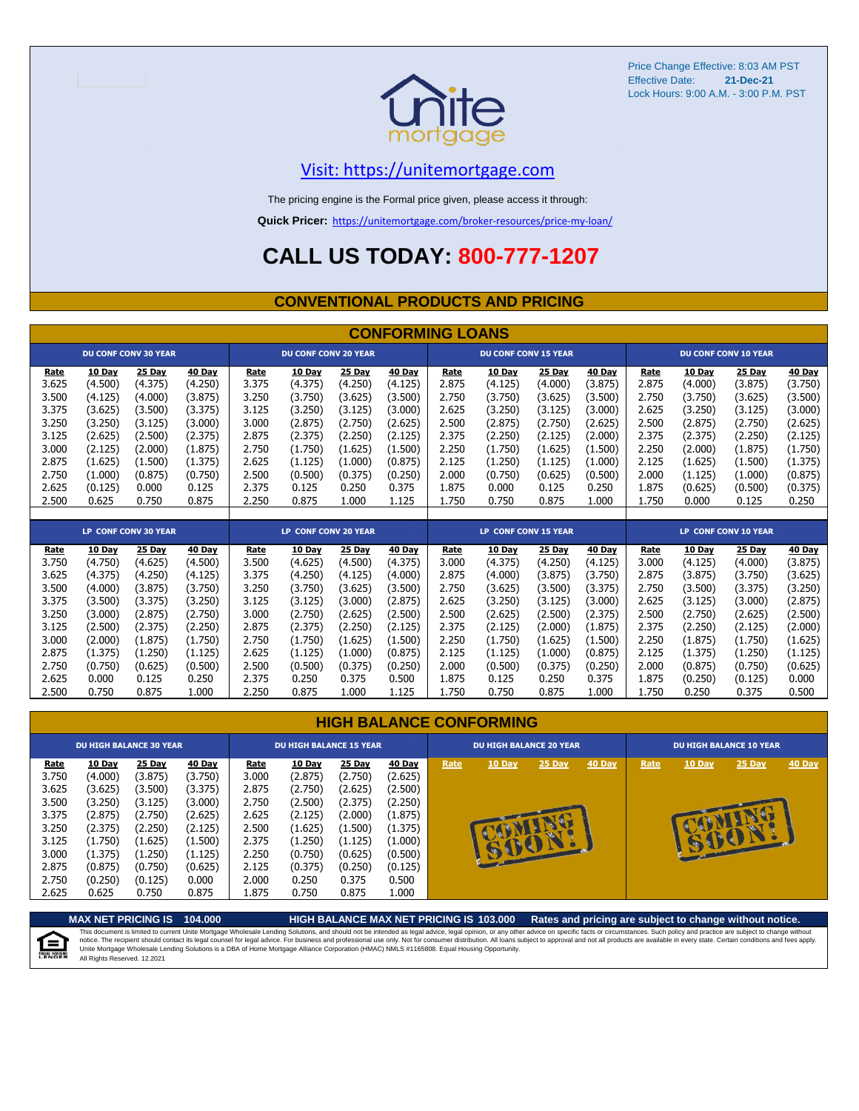

## [V](https://unitemortgage.com/)isit: https://unitemortgage.com

The pricing engine is the Formal price given, please access it through:

**Quick Pricer:** [https://un](https://unitemortgage.com/broker-resources/price-my-loan/)itemortgage.com/broker-resources/price-my-loan/

## **CALL US TODAY: 800-777-1207**

#### **CONVENTIONAL PRODUCTS AND PRICING**

|       | <b>CONFORMING LOANS</b> |                             |         |                      |                             |         |               |                             |                             |               |         |                      |               |                             |               |
|-------|-------------------------|-----------------------------|---------|----------------------|-----------------------------|---------|---------------|-----------------------------|-----------------------------|---------------|---------|----------------------|---------------|-----------------------------|---------------|
|       |                         | <b>DU CONF CONV 30 YEAR</b> |         |                      | <b>DU CONF CONV 20 YEAR</b> |         |               |                             | <b>DU CONF CONV 15 YEAR</b> |               |         |                      |               | <b>DU CONF CONV 10 YEAR</b> |               |
| Rate  | 10 Day                  | 25 Day                      | 40 Day  | Rate                 | 10 Day                      | 25 Day  | 40 Day        | Rate                        | 10 Day                      | 25 Day        | 40 Day  | Rate                 | 10 Day        | 25 Day                      | 40 Day        |
| 3.625 | (4.500)                 | (4.375)                     | (4.250) | 3.375                | (4.375)                     | (4.250) | (4.125)       | 2.875                       | (4.125)                     | (4.000)       | (3.875) | 2.875                | (4.000)       | (3.875)                     | (3.750)       |
| 3.500 | (4.125)                 | (4.000)                     | (3.875) | 3.250                | (3.750)                     | (3.625) | (3.500)       | 2.750                       | (3.750)                     | (3.625)       | (3.500) | 2.750                | (3.750)       | (3.625)                     | (3.500)       |
| 3.375 | (3.625)                 | (3.500)                     | (3.375) | 3.125                | (3.250)                     | (3.125) | (3.000)       | 2.625                       | (3.250)                     | (3.125)       | (3.000) | 2.625                | (3.250)       | (3.125)                     | (3.000)       |
| 3.250 | (3.250)                 | (3.125)                     | (3.000) | 3.000                | (2.875)                     | (2.750) | (2.625)       | 2.500                       | (2.875)                     | (2.750)       | (2.625) | 2.500                | (2.875)       | (2.750)                     | (2.625)       |
| 3.125 | (2.625)                 | (2.500)                     | (2.375) | 2.875                | (2.375)                     | (2.250) | (2.125)       | 2.375                       | (2.250)                     | (2.125)       | (2.000) | 2.375                | (2.375)       | (2.250)                     | (2.125)       |
| 3.000 | (2.125)                 | (2.000)                     | (1.875) | 2.750                | (1.750)                     | (1.625) | (1.500)       | 2.250                       | (1.750)                     | (1.625)       | (1.500) | 2.250                | (2.000)       | (1.875)                     | (1.750)       |
| 2.875 | (1.625)                 | (1.500)                     | (1.375) | 2.625                | (1.125)                     | (1.000) | (0.875)       | 2.125                       | (1.250)                     | (1.125)       | (1.000) | 2.125                | (1.625)       | (1.500)                     | (1.375)       |
| 2.750 | (1.000)                 | (0.875)                     | (0.750) | 2.500                | (0.500)                     | (0.375) | (0.250)       | 2.000                       | (0.750)                     | (0.625)       | (0.500) | 2.000                | (1.125)       | (1.000)                     | (0.875)       |
| 2.625 | (0.125)                 | 0.000                       | 0.125   | 2.375                | 0.125                       | 0.250   | 0.375         | 1.875                       | 0.000                       | 0.125         | 0.250   | 1.875                | (0.625)       | (0.500)                     | (0.375)       |
| 2.500 | 0.625                   | 0.750                       | 0.875   | 2.250                | 0.875                       | 1.000   | 1.125         | 1.750                       | 0.750                       | 0.875         | 1.000   | 1.750                | 0.000         | 0.125                       | 0.250         |
|       |                         |                             |         |                      |                             |         |               |                             |                             |               |         |                      |               |                             |               |
|       |                         | <b>LP CONF CONV 30 YEAR</b> |         | LP CONF CONV 20 YEAR |                             |         |               | <b>LP CONF CONV 15 YEAR</b> |                             |               |         | LP CONF CONV 10 YEAR |               |                             |               |
| Rate  | 10 Day                  | 25 Day                      | 40 Day  | <b>Rate</b>          | 10 Day                      | 25 Day  | <b>40 Day</b> | Rate                        | 10 Day                      | <b>25 Day</b> | 40 Day  | Rate                 | <b>10 Day</b> | 25 Day                      | <b>40 Day</b> |
| 3.750 | (4.750)                 | (4.625)                     | (4.500) | 3.500                | (4.625)                     | (4.500) | (4.375)       | 3.000                       | (4.375)                     | (4.250)       | (4.125) | 3.000                | (4.125)       | (4.000)                     | (3.875)       |
| 3.625 | (4.375)                 | (4.250)                     | (4.125) | 3.375                | (4.250)                     | (4.125) | (4.000)       | 2.875                       | (4.000)                     | (3.875)       | (3.750) | 2.875                | (3.875)       | (3.750)                     | (3.625)       |
| 3.500 | (4.000)                 | (3.875)                     | (3.750) | 3.250                | (3.750)                     | (3.625) | (3.500)       | 2.750                       | (3.625)                     | (3.500)       | (3.375) | 2.750                | (3.500)       | (3.375)                     | (3.250)       |
| 3.375 | (3.500)                 | (3.375)                     | (3.250) | 3.125                | (3.125)                     | (3.000) | (2.875)       | 2.625                       | (3.250)                     | (3.125)       | (3.000) | 2.625                | (3.125)       | (3.000)                     | (2.875)       |
| 3.250 | (3.000)                 | (2.875)                     | (2.750) | 3.000                | (2.750)                     | (2.625) | (2.500)       | 2.500                       | (2.625)                     | (2.500)       | (2.375) | 2.500                | (2.750)       | (2.625)                     | (2.500)       |
| 3.125 | (2.500)                 | (2.375)                     | (2.250) | 2.875                | (2.375)                     | (2.250) | (2.125)       | 2.375                       | (2.125)                     | (2.000)       | (1.875) | 2.375                | (2.250)       | (2.125)                     | (2.000)       |
| 3.000 | (2.000)                 | (1.875)                     | (1.750) | 2.750                | (1.750)                     | (1.625) | (1.500)       | 2.250                       | (1.750)                     | (1.625)       | (1.500) | 2.250                | (1.875)       | (1.750)                     | (1.625)       |
| 2.875 | (1.375)                 | (1.250)                     | (1.125) | 2.625                | (1.125)                     | (1.000) | (0.875)       | 2.125                       | (1.125)                     | (1.000)       | (0.875) | 2.125                | (1.375)       | (1.250)                     | (1.125)       |
| 2.750 | (0.750)                 | (0.625)                     | (0.500) | 2.500                | (0.500)                     | (0.375) | (0.250)       | 2.000                       | (0.500)                     | (0.375)       | (0.250) | 2.000                | (0.875)       | (0.750)                     | (0.625)       |

| <b>HIGH BALANCE CONFORMING</b> |  |
|--------------------------------|--|
|                                |  |

2.625 0.000 0.125 0.250 2.375 0.250 0.375 0.500 1.875 0.125 0.250 0.375 1.875 (0.250) (0.125) 0.000 2.500 0.750 0.875 1.000 2.250 0.875 1.000 1.125 1.750 0.750 0.875 1.000 1.750 0.250 0.375 0.500

|                                                                                                                               | <b>DU HIGH BALANCE 30 YEAR</b><br>10 Day                                  |                                                                                                                    |                                                                                                                  |                                                                                               | <b>DU HIGH BALANCE 15 YEAR</b>                                                                                          |                                                                                                                  |                                                                                                                  |      |        | <b>DU HIGH BALANCE 20 YEAR</b> |        |      |        | <b>DU HIGH BALANCE 10 YEAR</b> |               |  |  |  |
|-------------------------------------------------------------------------------------------------------------------------------|---------------------------------------------------------------------------|--------------------------------------------------------------------------------------------------------------------|------------------------------------------------------------------------------------------------------------------|-----------------------------------------------------------------------------------------------|-------------------------------------------------------------------------------------------------------------------------|------------------------------------------------------------------------------------------------------------------|------------------------------------------------------------------------------------------------------------------|------|--------|--------------------------------|--------|------|--------|--------------------------------|---------------|--|--|--|
| Rate<br>3.750<br>3.625<br>3.500<br>3.375<br>3.250<br>3.125<br>3.000<br>2.875<br>(0.875)<br>2.750<br>(0.250)<br>2.625<br>0.625 | (4.000)<br>(3.625)<br>(3.250)<br>(2.875)<br>(2.375)<br>(1.750)<br>(1.375) | 25 Day<br>(3.875)<br>(3.500)<br>(3.125)<br>(2.750)<br>(2.250)<br>(1.625)<br>(1.250)<br>(0.750)<br>(0.125)<br>0.750 | 40 Day<br>(3.750)<br>(3.375)<br>(3.000)<br>(2.625)<br>(2.125)<br>(1.500)<br>(1.125)<br>(0.625)<br>0.000<br>0.875 | Rate<br>3.000<br>2.875<br>2.750<br>2.625<br>2.500<br>2.375<br>2.250<br>2.125<br>2.000<br>875ء | <b>10 Day</b><br>(2.875)<br>(2.750)<br>(2.500)<br>(2.125)<br>(1.625)<br>(1.250)<br>(0.750)<br>(0.375)<br>0.250<br>0.750 | 25 Day<br>(2.750)<br>(2.625)<br>(2.375)<br>(2.000)<br>(1.500)<br>(1.125)<br>(0.625)<br>(0.250)<br>0.375<br>0.875 | 40 Day<br>(2.625)<br>(2.500)<br>(2.250)<br>(1.875)<br>(1.375)<br>(1.000)<br>(0.500)<br>(0.125)<br>0.500<br>1.000 | Rate | 10 Day | 25 Day<br>œ                    | 40 Day | Rate | 10 Day | $25$ Day                       | <b>40 Day</b> |  |  |  |

**MAX NET PRICING IS 104.000 HIGH BALANCE MAX NET PRICING IS 103.000 Rates and pricing are subject to change without notice.** This document is limited to current Unite Mortgage Wholesale Lending Solutions, and should not be intended as legal advice, legal opinion, or any other advice on specific facts or circumstances. Such policy and practice ar 自 All Rights Reserved. 12.2021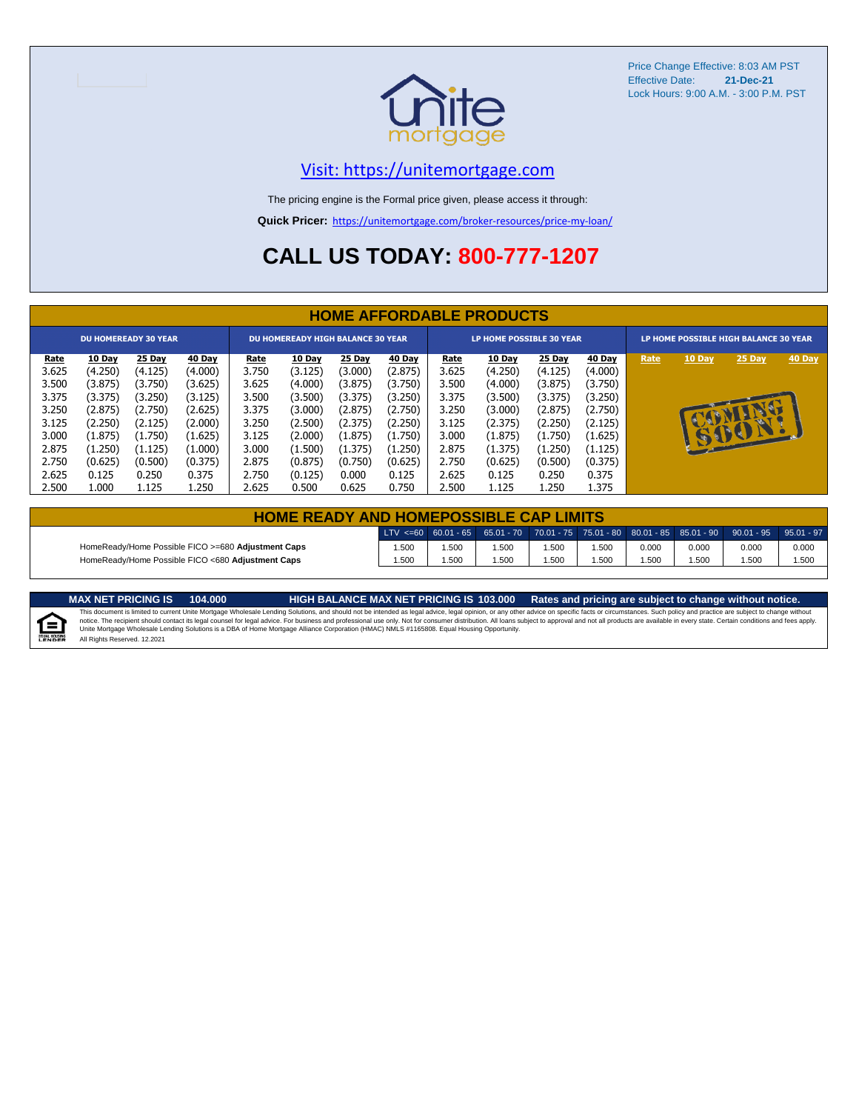

## [V](https://unitemortgage.com/)isit: https://unitemortgage.com

The pricing engine is the Formal price given, please access it through:

**Quick Pricer:** [https://un](https://unitemortgage.com/broker-resources/price-my-loan/)itemortgage.com/broker-resources/price-my-loan/

## **CALL US TODAY: 800-777-1207**

|             | <b>HOME AFFORDABLE PRODUCTS</b> |                             |         |                                          |               |         |         |                                 |               |         |         |                                       |              |          |        |
|-------------|---------------------------------|-----------------------------|---------|------------------------------------------|---------------|---------|---------|---------------------------------|---------------|---------|---------|---------------------------------------|--------------|----------|--------|
|             |                                 | <b>DU HOMEREADY 30 YEAR</b> |         | <b>DU HOMEREADY HIGH BALANCE 30 YEAR</b> |               |         |         | <b>LP HOME POSSIBLE 30 YEAR</b> |               |         |         | LP HOME POSSIBLE HIGH BALANCE 30 YEAR |              |          |        |
| <u>Rate</u> | 10 Day                          | 25 Day                      | 40 Day  | <u>Rate</u>                              | <b>10 Day</b> | 25 Day  | 40 Day  | <u>Rate</u>                     | <b>10 Day</b> | 25 Day  | 40 Day  | Rate                                  | 10 Day       | 25 Day   | 40 Day |
| 3.625       | (4.250)                         | (4.125)                     | (4.000) | 3.750                                    | (3.125)       | (3.000) | (2.875) | 3.625                           | (4.250)       | (4.125) | (4.000) |                                       |              |          |        |
| 3.500       | (3.875)                         | (3.750)                     | (3.625) | 3.625                                    | (4.000)       | (3.875) | (3.750) | 3.500                           | (4.000)       | (3.875) | (3.750) |                                       |              |          |        |
| 3.375       | (3.375)                         | (3.250)                     | (3.125) | 3.500                                    | (3.500)       | (3.375) | (3.250) | 3.375                           | (3.500)       | (3.375) | (3.250) |                                       |              |          |        |
| 3.250       | (2.875)                         | (2.750)                     | (2.625) | 3.375                                    | (3.000)       | (2.875) | (2.750) | 3.250                           | (3.000)       | (2.875) | (2.750) |                                       |              | <b>D</b> |        |
| 3.125       | (2.250)                         | (2.125)                     | (2.000) | 3.250                                    | (2.500)       | (2.375) | (2.250) | 3.125                           | (2.375)       | (2.250) | (2.125) |                                       |              |          |        |
| 3.000       | (1.875)                         | (1.750)                     | (1.625) | 3.125                                    | (2.000)       | (1.875) | (1.750) | 3.000                           | (1.875)       | (1.750) | (1.625) |                                       | $\mathbf{E}$ | BU       |        |
| 2.875       | (1.250)                         | (1.125)                     | (1.000) | 3.000                                    | (1.500)       | (1.375) | (1.250) | 2.875                           | (1.375)       | (1.250) | (1.125) |                                       |              |          |        |
| 2.750       | (0.625)                         | (0.500)                     | (0.375) | 2.875                                    | (0.875)       | (0.750) | (0.625) | 2.750                           | (0.625)       | (0.500) | (0.375) |                                       |              |          |        |
| 2.625       | 0.125                           | 0.250                       | 0.375   | 2.750                                    | (0.125)       | 0.000   | 0.125   | 2.625                           | 0.125         | 0.250   | 0.375   |                                       |              |          |        |
| 2.500       | 1.000                           | 1.125                       | 1.250   | 2.625                                    | 0.500         | 0.625   | 0.750   | 2.500                           | 1.125         | 1.250   | 1.375   |                                       |              |          |        |

| <b>HOME READY AND HOMEPOSSIBLE CAP LIMITS</b>      |      |      |      |      |       |       |       |                                                                                                                                                                        |       |  |  |  |
|----------------------------------------------------|------|------|------|------|-------|-------|-------|------------------------------------------------------------------------------------------------------------------------------------------------------------------------|-------|--|--|--|
|                                                    |      |      |      |      |       |       |       | $\mid$ LTV <=60 $\mid$ 60.01 - 65 $\mid$ 65.01 - 70 $\mid$ 70.01 - 75 $\mid$ 75.01 - 80 $\mid$ 80.01 - 85 $\mid$ 85.01 - 90 $\mid$ 90.01 - 95 $\mid$ 95.01 - 97 $\mid$ |       |  |  |  |
| HomeReady/Home Possible FICO >=680 Adjustment Caps | .500 | .500 | .500 | .500 | 1.500 | 0.000 | 0.000 | 0.000                                                                                                                                                                  | 0.000 |  |  |  |
| HomeReady/Home Possible FICO <680 Adjustment Caps  | .500 | .500 | .500 | .500 | i.500 | .500  | .500  | .500                                                                                                                                                                   | 1.500 |  |  |  |

E

MAX NET PRICING IS 103.000 Rates and pricing are subject to change without notice.<br>This document is limited to current Unite Mortgage Wholesale Lending Solutions, and should not be intended as legal advice, legal opinion, All Rights Reserved. 12.2021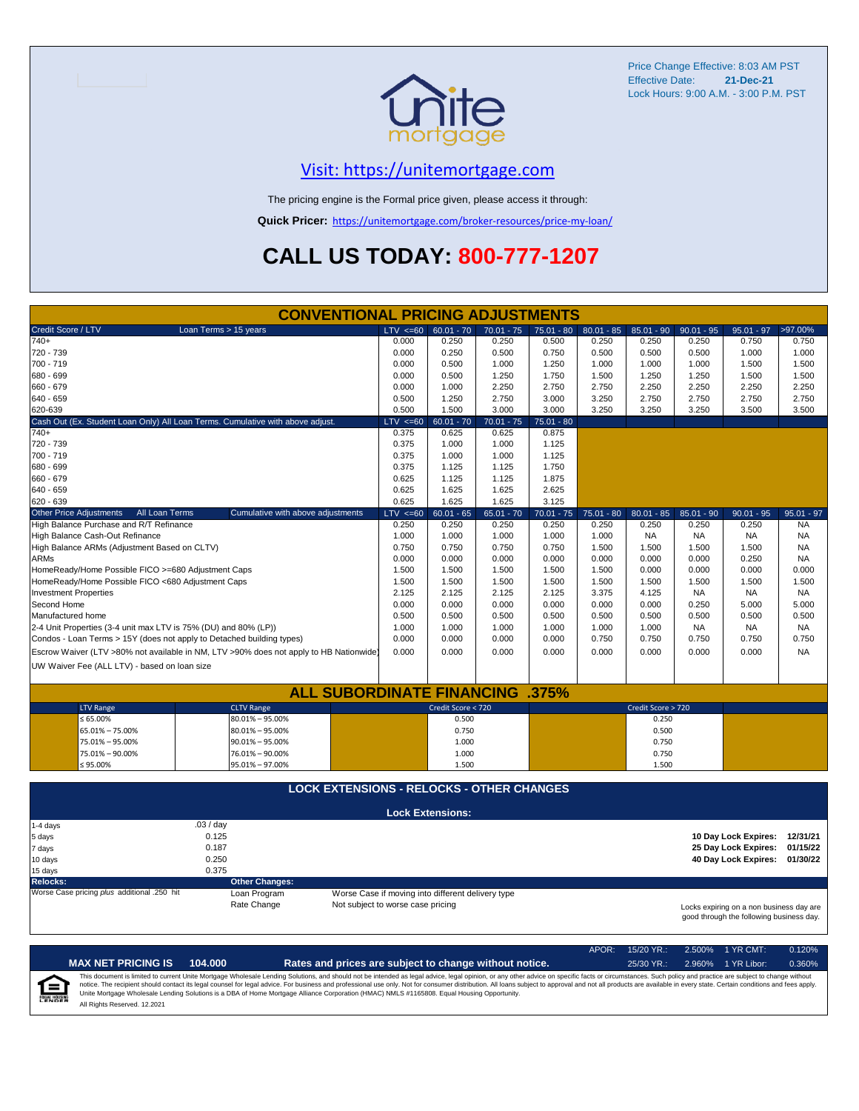

## [V](https://unitemortgage.com/)isit: https://unitemortgage.com

The pricing engine is the Formal price given, please access it through:

**Quick Pricer:** [https://un](https://unitemortgage.com/broker-resources/price-my-loan/)itemortgage.com/broker-resources/price-my-loan/

## **CALL US TODAY: 800-777-1207**

|                                                                                        | <b>CONVENTIONAL PRICING ADJUSTMENTS</b>          |              |                                                                                                                           |              |              |              |                    |              |                               |              |
|----------------------------------------------------------------------------------------|--------------------------------------------------|--------------|---------------------------------------------------------------------------------------------------------------------------|--------------|--------------|--------------|--------------------|--------------|-------------------------------|--------------|
| Credit Score / LTV                                                                     | Loan Terms > 15 years                            | $LTV \le 60$ | $60.01 - 70$                                                                                                              | $70.01 - 75$ | $75.01 - 80$ | $80.01 - 85$ | $85.01 - 90$       | $90.01 - 95$ | $95.01 - 97$                  | >97.00%      |
| 740+                                                                                   |                                                  | 0.000        | 0.250                                                                                                                     | 0.250        | 0.500        | 0.250        | 0.250              | 0.250        | 0.750                         | 0.750        |
| 720 - 739                                                                              |                                                  | 0.000        | 0.250                                                                                                                     | 0.500        | 0.750        | 0.500        | 0.500              | 0.500        | 1.000                         | 1.000        |
| 700 - 719                                                                              |                                                  | 0.000        | 0.500                                                                                                                     | 1.000        | 1.250        | 1.000        | 1.000              | 1.000        | 1.500                         | 1.500        |
| 680 - 699                                                                              |                                                  | 0.000        | 0.500                                                                                                                     | 1.250        | 1.750        | 1.500        | 1.250              | 1.250        | 1.500                         | 1.500        |
| 660 - 679                                                                              |                                                  | 0.000        | 1.000                                                                                                                     | 2.250        | 2.750        | 2.750        | 2.250              | 2.250        | 2.250                         | 2.250        |
| 640 - 659                                                                              |                                                  | 0.500        | 1.250                                                                                                                     | 2.750        | 3.000        | 3.250        | 2.750              | 2.750        | 2.750                         | 2.750        |
| 620-639                                                                                |                                                  | 0.500        | 1.500                                                                                                                     | 3.000        | 3.000        | 3.250        | 3.250              | 3.250        | 3.500                         | 3.500        |
| Cash Out (Ex. Student Loan Only) All Loan Terms. Cumulative with above adjust.         |                                                  | $LTV < =60$  | $60.01 - 70$                                                                                                              | $70.01 - 75$ | $75.01 - 80$ |              |                    |              |                               |              |
| $740+$                                                                                 |                                                  | 0.375        | 0.625                                                                                                                     | 0.625        | 0.875        |              |                    |              |                               |              |
| 720 - 739                                                                              |                                                  | 0.375        | 1.000                                                                                                                     | 1.000        | 1.125        |              |                    |              |                               |              |
| 700 - 719                                                                              |                                                  | 0.375        | 1.000                                                                                                                     | 1.000        | 1.125        |              |                    |              |                               |              |
| 680 - 699                                                                              |                                                  | 0.375        | 1.125                                                                                                                     | 1.125        | 1.750        |              |                    |              |                               |              |
| 660 - 679                                                                              |                                                  | 0.625        | 1.125                                                                                                                     | 1.125        | 1.875        |              |                    |              |                               |              |
| 640 - 659                                                                              |                                                  | 0.625        | 1.625                                                                                                                     | 1.625        | 2.625        |              |                    |              |                               |              |
| 620 - 639                                                                              |                                                  | 0.625        | 1.625                                                                                                                     | 1.625        | 3.125        |              |                    |              |                               |              |
| <b>Other Price Adjustments</b><br>All Loan Terms                                       | Cumulative with above adjustments                | $LTV \le 60$ | $60.01 - 65$                                                                                                              | $65.01 - 70$ | $70.01 - 75$ | $75.01 - 80$ | $80.01 - 85$       | $85.01 - 90$ | $90.01 - 95$                  | $95.01 - 97$ |
| High Balance Purchase and R/T Refinance                                                |                                                  | 0.250        | 0.250                                                                                                                     | 0.250        | 0.250        | 0.250        | 0.250              | 0.250        | 0.250                         | <b>NA</b>    |
| High Balance Cash-Out Refinance                                                        |                                                  | 1.000        | 1.000                                                                                                                     | 1.000        | 1.000        | 1.000        | <b>NA</b>          | <b>NA</b>    | <b>NA</b>                     | <b>NA</b>    |
| High Balance ARMs (Adjustment Based on CLTV)                                           |                                                  | 0.750        | 0.750                                                                                                                     | 0.750        | 0.750        | 1.500        | 1.500              | 1.500        | 1.500                         | <b>NA</b>    |
| <b>ARMs</b>                                                                            |                                                  | 0.000        | 0.000                                                                                                                     | 0.000        | 0.000        | 0.000        | 0.000              | 0.000        | 0.250                         | NA           |
| HomeReady/Home Possible FICO >=680 Adjustment Caps                                     |                                                  | 1.500        | 1.500                                                                                                                     | 1.500        | 1.500        | 1.500        | 0.000              | 0.000        | 0.000                         | 0.000        |
| HomeReady/Home Possible FICO <680 Adjustment Caps                                      |                                                  | 1.500        | 1.500                                                                                                                     | 1.500        | 1.500        | 1.500        | 1.500              | 1.500        | 1.500                         | 1.500        |
| <b>Investment Properties</b>                                                           |                                                  | 2.125        | 2.125                                                                                                                     | 2.125        | 2.125        | 3.375        | 4.125              | <b>NA</b>    | <b>NA</b>                     | <b>NA</b>    |
| Second Home                                                                            |                                                  | 0.000        | 0.000                                                                                                                     | 0.000        | 0.000        | 0.000        | 0.000              | 0.250        | 5.000                         | 5.000        |
| Manufactured home                                                                      |                                                  | 0.500        | 0.500                                                                                                                     | 0.500        | 0.500        | 0.500        | 0.500              | 0.500        | 0.500                         | 0.500        |
| 2-4 Unit Properties (3-4 unit max LTV is 75% (DU) and 80% (LP))                        |                                                  | 1.000        | 1.000                                                                                                                     | 1.000        | 1.000        | 1.000        | 1.000              | <b>NA</b>    | <b>NA</b>                     | <b>NA</b>    |
| Condos - Loan Terms > 15Y (does not apply to Detached building types)                  |                                                  | 0.000        | 0.000                                                                                                                     | 0.000        | 0.000        | 0.750        | 0.750              | 0.750        | 0.750                         | 0.750        |
| Escrow Waiver (LTV >80% not available in NM, LTV >90% does not apply to HB Nationwide) |                                                  | 0.000        | 0.000                                                                                                                     | 0.000        | 0.000        | 0.000        | 0.000              | 0.000        | 0.000                         | <b>NA</b>    |
| UW Waiver Fee (ALL LTV) - based on loan size                                           |                                                  |              |                                                                                                                           |              |              |              |                    |              |                               |              |
|                                                                                        |                                                  |              |                                                                                                                           |              |              |              |                    |              |                               |              |
|                                                                                        | <b>ALL SUBORDINATE FINANCING</b>                 |              |                                                                                                                           |              | .375%        |              |                    |              |                               |              |
| <b>LTV Range</b>                                                                       | <b>CLTV Range</b>                                |              | Credit Score < 720                                                                                                        |              |              |              | Credit Score > 720 |              |                               |              |
| $\leq 65.00\%$                                                                         | $80.01\% - 95.00\%$                              |              | 0.500                                                                                                                     |              |              |              | 0.250              |              |                               |              |
| 65.01% - 75.00%                                                                        | $80.01\% - 95.00\%$                              |              | 0.750                                                                                                                     |              |              |              | 0.500              |              |                               |              |
| 75.01% - 95.00%                                                                        | $90.01\% - 95.00\%$                              |              | 1.000                                                                                                                     |              |              |              | 0.750              |              |                               |              |
| 75.01% - 90.00%                                                                        | 76.01% - 90.00%                                  |              | 1.000                                                                                                                     |              |              |              | 0.750              |              |                               |              |
| ≤ 95.00%                                                                               | 95.01% - 97.00%                                  |              | 1.500                                                                                                                     |              |              |              | 1.500              |              |                               |              |
|                                                                                        |                                                  |              |                                                                                                                           |              |              |              |                    |              |                               |              |
|                                                                                        | <b>LOCK EXTENSIONS - RELOCKS - OTHER CHANGES</b> |              |                                                                                                                           |              |              |              |                    |              |                               |              |
|                                                                                        |                                                  |              | <b>Lock Extensions:</b>                                                                                                   |              |              |              |                    |              |                               |              |
| .03/day<br>$1-4$ days                                                                  |                                                  |              |                                                                                                                           |              |              |              |                    |              |                               |              |
| 0.125<br>5 days                                                                        |                                                  |              |                                                                                                                           |              |              |              |                    |              | 10 Day Lock Expires: 12/31/21 |              |
| 0.187<br>7 days                                                                        |                                                  |              |                                                                                                                           |              |              |              |                    |              | 25 Day Lock Expires:          | 01/15/22     |
| 0.250<br>10 days                                                                       |                                                  |              |                                                                                                                           |              |              |              |                    |              | 40 Day Lock Expires: 01/30/22 |              |
| 0.375<br>15 days                                                                       |                                                  |              |                                                                                                                           |              |              |              |                    |              |                               |              |
| <b>Relocks:</b>                                                                        | <b>Other Changes:</b>                            |              |                                                                                                                           |              |              |              |                    |              |                               |              |
| Worse Case pricing plus additional .250 hit                                            | Loan Program                                     |              | Worse Case if moving into different delivery type                                                                         |              |              |              |                    |              |                               |              |
|                                                                                        | Rate Change                                      |              | Not subject to worse case pricing<br>Locks expiring on a non business day are<br>good through the following business day. |              |              |              |                    |              |                               |              |

APOR: 15/20 YR.: 2.500% 1 YR CMT: 0.120% **MAX NET PRICING IS 104.000 Rates and prices are subject to change without notice.** 25/30 YR.: 2.960% 1 YR Libor: 0.360% This document is limited to current Unite Mortgage Wholesale Lending Solutions, and should not be intended as legal advice, legal opinion, or any other advice on specific facts or circumstances. Such policy and practice ar  $=$ **EQUAL HOUSING** All Rights Reserved. 12.2021